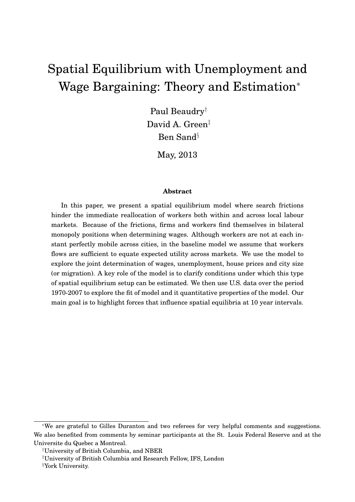# Spatial Equilibrium with Unemployment and Wage Bargaining: Theory and Estimation<sup>∗</sup>

Paul Beaudry† David A. Green‡ Ben Sand§

May, 2013

#### **Abstract**

In this paper, we present a spatial equilibrium model where search frictions hinder the immediate reallocation of workers both within and across local labour markets. Because of the frictions, firms and workers find themselves in bilateral monopoly positions when determining wages. Although workers are not at each instant perfectly mobile across cities, in the baseline model we assume that workers flows are sufficient to equate expected utility across markets. We use the model to explore the joint determination of wages, unemployment, house prices and city size (or migration). A key role of the model is to clarify conditions under which this type of spatial equilibrium setup can be estimated. We then use U.S. data over the period 1970-2007 to explore the fit of model and it quantitative properties of the model. Our main goal is to highlight forces that influence spatial equilibria at 10 year intervals.

<sup>∗</sup>We are grateful to Gilles Duranton and two referees for very helpful comments and suggestions. We also benefited from comments by seminar participants at the St. Louis Federal Reserve and at the Universite du Quebec a Montreal.

<sup>†</sup>University of British Columbia, and NBER

<sup>‡</sup>University of British Columbia and Research Fellow, IFS, London §York University.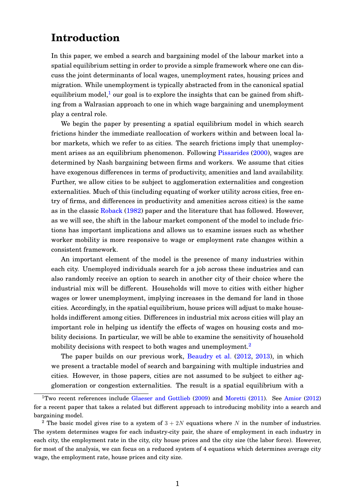## **Introduction**

In this paper, we embed a search and bargaining model of the labour market into a spatial equilibrium setting in order to provide a simple framework where one can discuss the joint determinants of local wages, unemployment rates, housing prices and migration. While unemployment is typically abstracted from in the canonical spatial equilibrium model, $<sup>1</sup>$  $<sup>1</sup>$  $<sup>1</sup>$  our goal is to explore the insights that can be gained from shift-</sup> ing from a Walrasian approach to one in which wage bargaining and unemployment play a central role.

We begin the paper by presenting a spatial equilibrium model in which search frictions hinder the immediate reallocation of workers within and between local labor markets, which we refer to as cities. The search frictions imply that unemployment arises as an equilibrium phenomenon. Following [Pissarides](#page-31-0) [\(2000\)](#page-31-0), wages are determined by Nash bargaining between firms and workers. We assume that cities have exogenous differences in terms of productivity, amenities and land availability. Further, we allow cities to be subject to agglomeration externalities and congestion externalities. Much of this (including equating of worker utility across cities, free entry of firms, and differences in productivity and amenities across cities) is the same as in the classic [Roback](#page-31-1) [\(1982\)](#page-31-1) paper and the literature that has followed. However, as we will see, the shift in the labour market component of the model to include frictions has important implications and allows us to examine issues such as whether worker mobility is more responsive to wage or employment rate changes within a consistent framework.

An important element of the model is the presence of many industries within each city. Unemployed individuals search for a job across these industries and can also randomly receive an option to search in another city of their choice where the industrial mix will be different. Households will move to cities with either higher wages or lower unemployment, implying increases in the demand for land in those cities. Accordingly, in the spatial equilibrium, house prices will adjust to make households indifferent among cities. Differences in industrial mix across cities will play an important role in helping us identify the effects of wages on housing costs and mobility decisions. In particular, we will be able to examine the sensitivity of household mobility decisions with respect to both wages and unemployment.<sup>[2](#page-1-1)</sup>

The paper builds on our previous work, [Beaudry et al.](#page-30-0) [\(2012,](#page-30-0) [2013\)](#page-30-1), in which we present a tractable model of search and bargaining with multiple industries and cities. However, in those papers, cities are not assumed to be subject to either agglomeration or congestion externalities. The result is a spatial equilibrium with a

<span id="page-1-0"></span><sup>&</sup>lt;sup>1</sup>Two recent references include [Glaeser and Gottlieb](#page-31-2) [\(2009\)](#page-31-2) and [Moretti](#page-31-3) [\(2011\)](#page-31-3). See [Amior](#page-30-2) [\(2012\)](#page-30-2) for a recent paper that takes a related but different approach to introducing mobility into a search and bargaining model.

<span id="page-1-1"></span><sup>&</sup>lt;sup>2</sup> The basic model gives rise to a system of  $3 + 2N$  equations where N in the number of industries. The system determines wages for each industry-city pair, the share of employment in each industry in each city, the employment rate in the city, city house prices and the city size (the labor force). However, for most of the analysis, we can focus on a reduced system of 4 equations which determines average city wage, the employment rate, house prices and city size.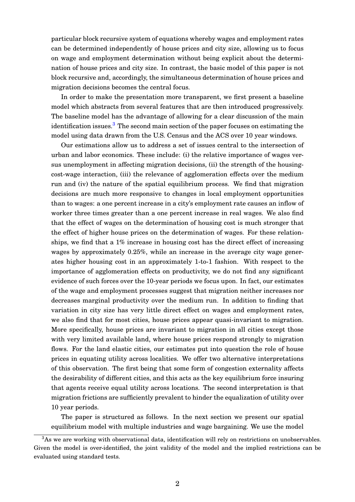particular block recursive system of equations whereby wages and employment rates can be determined independently of house prices and city size, allowing us to focus on wage and employment determination without being explicit about the determination of house prices and city size. In contrast, the basic model of this paper is not block recursive and, accordingly, the simultaneous determination of house prices and migration decisions becomes the central focus.

In order to make the presentation more transparent, we first present a baseline model which abstracts from several features that are then introduced progressively. The baseline model has the advantage of allowing for a clear discussion of the main identification issues. $3$  The second main section of the paper focuses on estimating the model using data drawn from the U.S. Census and the ACS over 10 year windows.

Our estimations allow us to address a set of issues central to the intersection of urban and labor economics. These include: (i) the relative importance of wages versus unemployment in affecting migration decisions, (ii) the strength of the housingcost-wage interaction, (iii) the relevance of agglomeration effects over the medium run and (iv) the nature of the spatial equilibrium process. We find that migration decisions are much more responsive to changes in local employment opportunities than to wages: a one percent increase in a city's employment rate causes an inflow of worker three times greater than a one percent increase in real wages. We also find that the effect of wages on the determination of housing cost is much stronger that the effect of higher house prices on the determination of wages. For these relationships, we find that a 1% increase in housing cost has the direct effect of increasing wages by approximately 0.25%, while an increase in the average city wage generates higher housing cost in an approximately 1-to-1 fashion. With respect to the importance of agglomeration effects on productivity, we do not find any significant evidence of such forces over the 10-year periods we focus upon. In fact, our estimates of the wage and employment processes suggest that migration neither increases nor decreases marginal productivity over the medium run. In addition to finding that variation in city size has very little direct effect on wages and employment rates, we also find that for most cities, house prices appear quasi-invariant to migration. More specifically, house prices are invariant to migration in all cities except those with very limited available land, where house prices respond strongly to migration flows. For the land elastic cities, our estimates put into question the role of house prices in equating utility across localities. We offer two alternative interpretations of this observation. The first being that some form of congestion externality affects the desirability of different cities, and this acts as the key equilibrium force insuring that agents receive equal utility across locations. The second interpretation is that migration frictions are sufficiently prevalent to hinder the equalization of utility over 10 year periods.

The paper is structured as follows. In the next section we present our spatial equilibrium model with multiple industries and wage bargaining. We use the model

<span id="page-2-0"></span><sup>&</sup>lt;sup>3</sup>As we are working with observational data, identification will rely on restrictions on unobservables. Given the model is over-identified, the joint validity of the model and the implied restrictions can be evaluated using standard tests.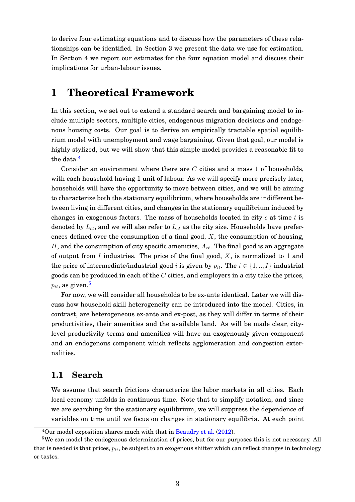to derive four estimating equations and to discuss how the parameters of these relationships can be identified. In Section 3 we present the data we use for estimation. In Section 4 we report our estimates for the four equation model and discuss their implications for urban-labour issues.

## **1 Theoretical Framework**

In this section, we set out to extend a standard search and bargaining model to include multiple sectors, multiple cities, endogenous migration decisions and endogenous housing costs. Our goal is to derive an empirically tractable spatial equilibrium model with unemployment and wage bargaining. Given that goal, our model is highly stylized, but we will show that this simple model provides a reasonable fit to the data.<sup>[4](#page-3-0)</sup>

Consider an environment where there are  $C$  cities and a mass 1 of households, with each household having 1 unit of labour. As we will specify more precisely later, households will have the opportunity to move between cities, and we will be aiming to characterize both the stationary equilibrium, where households are indifferent between living in different cities, and changes in the stationary equilibrium induced by changes in exogenous factors. The mass of households located in city  $c$  at time  $t$  is denoted by  $L_{ct}$ , and we will also refer to  $L_{ct}$  as the city size. Households have preferences defined over the consumption of a final good,  $X$ , the consumption of housing, H, and the consumption of city specific amenities,  $A_{ct}$ . The final good is an aggregate of output from I industries. The price of the final good,  $X$ , is normalized to 1 and the price of intermediate/industrial good *i* is given by  $p_{it}$ . The  $i \in \{1, ..., I\}$  industrial goods can be produced in each of the  $C$  cities, and employers in a city take the prices,  $p_{it}$ , as given.<sup>[5](#page-3-1)</sup>

For now, we will consider all households to be ex-ante identical. Later we will discuss how household skill heterogeneity can be introduced into the model. Cities, in contrast, are heterogeneous ex-ante and ex-post, as they will differ in terms of their productivities, their amenities and the available land. As will be made clear, citylevel productivity terms and amenities will have an exogenously given component and an endogenous component which reflects agglomeration and congestion externalities.

### **1.1 Search**

We assume that search frictions characterize the labor markets in all cities. Each local economy unfolds in continuous time. Note that to simplify notation, and since we are searching for the stationary equilibrium, we will suppress the dependence of variables on time until we focus on changes in stationary equilibria. At each point

<span id="page-3-1"></span><span id="page-3-0"></span> $4$ Our model exposition shares much with that in [Beaudry et al.](#page-30-0) [\(2012\)](#page-30-0).

<sup>&</sup>lt;sup>5</sup>We can model the endogenous determination of prices, but for our purposes this is not necessary. All that is needed is that prices,  $p_{it}$ , be subject to an exogenous shifter which can reflect changes in technology or tastes.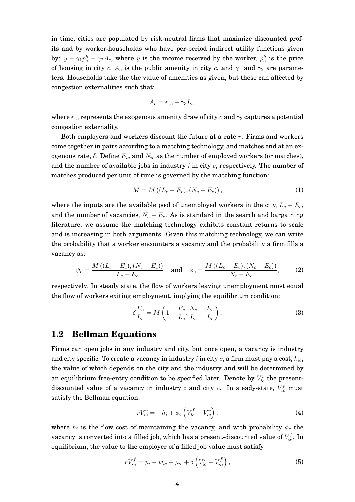in time, cities are populated by risk-neutral firms that maximize discounted profits and by worker-households who have per-period indirect utility functions given by:  $y - \gamma_1 p_c^h + \gamma_2 A_c$ , where  $y$  is the income received by the worker,  $p_c^h$  is the price of housing in city c,  $A_c$  is the public amenity in city c, and  $\gamma_1$  and  $\gamma_2$  are parameters. Households take the the value of amenities as given, but these can affected by congestion externalities such that:

$$
A_c = \epsilon_{1c} - \gamma_3 L_c
$$

where  $\epsilon_{1c}$  represents the exogenous amenity draw of city c and  $\gamma_3$  captures a potential congestion externality.

Both employers and workers discount the future at a rate r. Firms and workers come together in pairs according to a matching technology, and matches end at an exogenous rate,  $\delta$ . Define  $E_{ic}$  and  $N_{ic}$  as the number of employed workers (or matches), and the number of available jobs in industry  $i$  in city  $c$ , respectively. The number of matches produced per unit of time is governed by the matching function:

$$
M = M((L_c - E_c), (N_c - E_c)),
$$
\n(1)

where the inputs are the available pool of unemployed workers in the city,  $L_c - E_c$ , and the number of vacancies,  $N_c - E_c$ . As is standard in the search and bargaining literature, we assume the matching technology exhibits constant returns to scale and is increasing in both arguments. Given this matching technology, we can write the probability that a worker encounters a vacancy and the probability a firm fills a vacancy as:

$$
\psi_c = \frac{M((L_c - E_c), (N_c - E_c))}{L_c - E_c} \quad \text{and} \quad \phi_c = \frac{M((L_c - E_c), (N_c - E_c))}{N_c - E_c}, \tag{2}
$$

respectively. In steady state, the flow of workers leaving unemployment must equal the flow of workers exiting employment, implying the equilibrium condition:

$$
\delta \frac{E_c}{L_c} = M \left( 1 - \frac{E_c}{L_c}, \frac{N_c}{L_c} - \frac{E_c}{L_c} \right). \tag{3}
$$

#### **1.2 Bellman Equations**

Firms can open jobs in any industry and city, but once open, a vacancy is industry and city specific. To create a vacancy in industry i in city  $c$ , a firm must pay a cost,  $k_{ic}$ , the value of which depends on the city and the industry and will be determined by an equilibrium free-entry condition to be specified later. Denote by  $V_{ic}^v$  the presentdiscounted value of a vacancy in industry i and city c. In steady-state,  $V_{ic}^{v}$  must satisfy the Bellman equation:

$$
rV_{ic}^{v} = -h_i + \phi_c \left( V_{ic}^f - V_{ic}^v \right), \tag{4}
$$

where  $h_i$  is the flow cost of maintaining the vacancy, and with probability  $\phi_c$  the vacancy is converted into a filled job, which has a present-discounted value of  $V_{ic}^f$ . In equilibrium, the value to the employer of a filled job value must satisfy

$$
rV_{ic}^f = p_i - w_{ic} + \rho_{ic} + \delta \left(V_{ic}^v - V_{ic}^f\right),\tag{5}
$$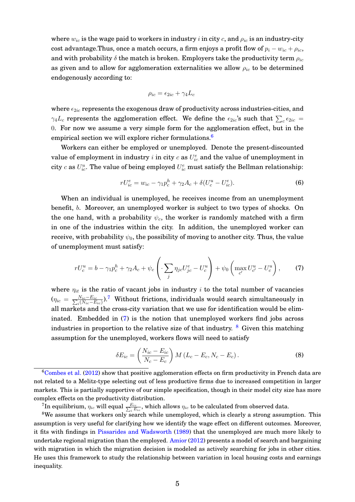where  $w_{ic}$  is the wage paid to workers in industry i in city c, and  $\rho_{ic}$  is an industry-city cost advantage. Thus, once a match occurs, a firm enjoys a profit flow of  $p_i - w_{ic} + \rho_{ic}$ , and with probability  $\delta$  the match is broken. Employers take the productivity term  $\rho_{ic}$ as given and to allow for agglomeration externalities we allow  $\rho_{ic}$  to be determined endogenously according to:

$$
\rho_{ic} = \epsilon_{2ic} + \gamma_4 L_c
$$

where  $\epsilon_{2ic}$  represents the exogenous draw of productivity across industries-cities, and  $\gamma_4 L_c$  represents the agglomeration effect. We define the  $\epsilon_{2ic}$ 's such that  $\sum_c \epsilon_{2ic} =$ 0. For now we assume a very simple form for the agglomeration effect, but in the empirical section we will explore richer formulations.<sup>[6](#page-5-0)</sup>

Workers can either be employed or unemployed. Denote the present-discounted value of employment in industry  $i$  in city  $c$  as  $U^e_{ic}$  and the value of unemployment in city  $c$  as  $U^u_{ic}$ . The value of being employed  $U^e_{ic}$  must satisfy the Bellman relationship:

<span id="page-5-2"></span>
$$
rU_{ic}^{e} = w_{ic} - \gamma_1 p_c^h + \gamma_2 A_c + \delta (U_c^u - U_{ic}^e). \tag{6}
$$

When an individual is unemployed, he receives income from an unemployment benefit, b. Moreover, an unemployed worker is subject to two types of shocks. On the one hand, with a probability  $\psi_c$ , the worker is randomly matched with a firm in one of the industries within the city. In addition, the unemployed worker can receive, with probability  $\psi_0$ , the possibility of moving to another city. Thus, the value of unemployment must satisfy:

$$
rU_c^u = b - \gamma_1 p_c^h + \gamma_2 A_c + \psi_c \left( \cdot \sum_j \eta_{jc} U_{jc}^e - U_c^u \right) + \psi_0 \left( \max_{c'} U_{c'}^u - U_c^u \right), \tag{7}
$$

where  $\eta_{it}$  is the ratio of vacant jobs in industry i to the total number of vacancies  $(\eta_{ic} = \frac{N_{ic}-E_{ic}}{\sum_i (N_{ic}-E_{ic})}$  $\frac{N_{ic}-E_{ic}}{i(N_{ic}-E_{ic})}$ ).<sup>[7](#page-5-1)</sup> Without frictions, individuals would search simultaneously in all markets and the cross-city variation that we use for identification would be eliminated. Embedded in [\(7\)](#page-5-2) is the notion that unemployed workers find jobs across industries in proportion to the relative size of that industry.  $8\$  $8\$  Given this matching assumption for the unemployed, workers flows will need to satisfy

$$
\delta E_{ic} = \left(\frac{N_{ic} - E_{ic}}{N_c - E_c}\right) M \left(L_c - E_c, N_c - E_c\right). \tag{8}
$$

<span id="page-5-0"></span> $6$ [Combes et al.](#page-30-3) [\(2012\)](#page-30-3) show that positive agglomeration effects on firm productivity in French data are not related to a Melitz-type selecting out of less productive firms due to increased competition in larger markets. This is partially supportive of our simple specification, though in their model city size has more complex effects on the productivity distribution.

<span id="page-5-3"></span><span id="page-5-1"></span> $^7$ In equilibrium,  $\eta_{ic}$  will equal  $\frac{E_{ic}}{\sum_i E_{ic}}$ , which allows  $\eta_{ic}$  to be calculated from observed data.

<sup>8</sup>We assume that workers only search while unemployed, which is clearly a strong assumption. This assumption is very useful for clarifying how we identify the wage effect on different outcomes. Moreover, it fits with findings in [Pissarides and Wadsworth](#page-31-4) [\(1989\)](#page-31-4) that the unemployed are much more likely to undertake regional migration than the employed. [Amior](#page-30-2) [\(2012\)](#page-30-2) presents a model of search and bargaining with migration in which the migration decision is modeled as actively searching for jobs in other cities. He uses this framework to study the relationship between variation in local housing costs and earnings inequality.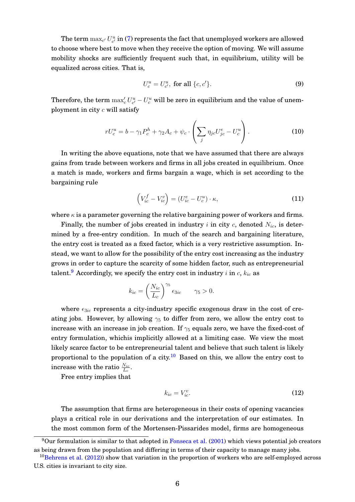The term  $\max_{c'} U^u_{c'}$  in [\(7\)](#page-5-2) represents the fact that unemployed workers are allowed to choose where best to move when they receive the option of moving. We will assume mobility shocks are sufficiently frequent such that, in equilibrium, utility will be equalized across cities. That is,

$$
U_c^u = U_{c'}^u, \text{ for all } \{c, c'\}.
$$
 (9)

Therefore, the term  $\max_c' U_{c'}^u-U_c^u$  will be zero in equilibrium and the value of unemployment in city c will satisfy

$$
rU_c^u = b - \gamma_1 P_c^h + \gamma_2 A_c + \psi_c \cdot \left(\sum_j \eta_{jc} U_{jc}^e - U_c^u\right). \tag{10}
$$

In writing the above equations, note that we have assumed that there are always gains from trade between workers and firms in all jobs created in equilibrium. Once a match is made, workers and firms bargain a wage, which is set according to the bargaining rule

<span id="page-6-2"></span>
$$
\left(V_{ic}^f - V_{ic}^v\right) = \left(U_{ic}^e - U_c^u\right) \cdot \kappa,\tag{11}
$$

where  $\kappa$  is a parameter governing the relative bargaining power of workers and firms.

Finally, the number of jobs created in industry i in city  $c$ , denoted  $N_{ic}$ , is determined by a free-entry condition. In much of the search and bargaining literature, the entry cost is treated as a fixed factor, which is a very restrictive assumption. Instead, we want to allow for the possibility of the entry cost increasing as the industry grows in order to capture the scarcity of some hidden factor, such as entrepreneurial talent.<sup>[9](#page-6-0)</sup> Accordingly, we specify the entry cost in industry i in c,  $k_{ic}$  as

$$
k_{ic} = \left(\frac{N_{ic}}{L_c}\right)^{\gamma_5} \epsilon_{3ic} \qquad \gamma_5 > 0.
$$

where  $\epsilon_{3ic}$  represents a city-industry specific exogenous draw in the cost of creating jobs. However, by allowing  $\gamma_5$  to differ from zero, we allow the entry cost to increase with an increase in job creation. If  $\gamma_5$  equals zero, we have the fixed-cost of entry formulation, whichis implicitly allowed at a limiting case. We view the most likely scarce factor to be entrepreneurial talent and believe that such talent is likely proportional to the population of a city.<sup>[10](#page-6-1)</sup> Based on this, we allow the entry cost to increase with the ratio  $\frac{N_{ic}}{L_c}.$ 

Free entry implies that

$$
k_{ic} = V_{ic}^v.
$$
 (12)

The assumption that firms are heterogeneous in their costs of opening vacancies plays a critical role in our derivations and the interpretation of our estimates. In the most common form of the Mortensen-Pissarides model, firms are homogeneous

<span id="page-6-0"></span> $9$ Our formulation is similar to that adopted in [Fonseca et al.](#page-31-5) [\(2001\)](#page-31-5) which views potential job creators as being drawn from the population and differing in terms of their capacity to manage many jobs.

<span id="page-6-1"></span> $10$ [Behrens et al.](#page-30-4) [\(2012\)](#page-30-4)) show that variation in the proportion of workers who are self-employed across U.S. cities is invariant to city size.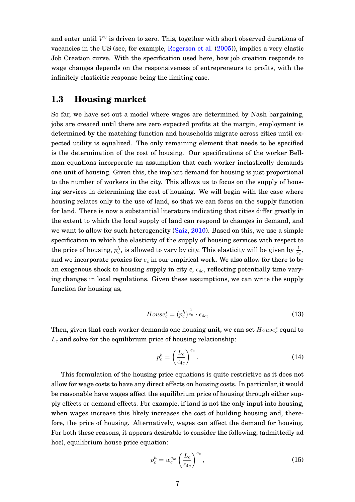and enter until  $V^v$  is driven to zero. This, together with short observed durations of vacancies in the US (see, for example, [Rogerson et al.](#page-32-0) [\(2005\)](#page-32-0)), implies a very elastic Job Creation curve. With the specification used here, how job creation responds to wage changes depends on the responsiveness of entrepreneurs to profits, with the infinitely elasticitic response being the limiting case.

### **1.3 Housing market**

So far, we have set out a model where wages are determined by Nash bargaining, jobs are created until there are zero expected profits at the margin, employment is determined by the matching function and households migrate across cities until expected utility is equalized. The only remaining element that needs to be specified is the determination of the cost of housing. Our specifications of the worker Bellman equations incorporate an assumption that each worker inelastically demands one unit of housing. Given this, the implicit demand for housing is just proportional to the number of workers in the city. This allows us to focus on the supply of housing services in determining the cost of housing. We will begin with the case where housing relates only to the use of land, so that we can focus on the supply function for land. There is now a substantial literature indicating that cities differ greatly in the extent to which the local supply of land can respond to changes in demand, and we want to allow for such heterogeneity [\(Saiz,](#page-32-1) [2010\)](#page-32-1). Based on this, we use a simple specification in which the elasticity of the supply of housing services with respect to the price of housing,  $p_c^h$ , is allowed to vary by city. This elasticity will be given by  $\frac{1}{e_c},$ and we incorporate proxies for  $e_c$  in our empirical work. We also allow for there to be an exogenous shock to housing supply in city c,  $\epsilon_{4c}$ , reflecting potentially time varying changes in local regulations. Given these assumptions, we can write the supply function for housing as,

$$
House_c^s = (p_c^h)^{\frac{1}{e_c}} \cdot \epsilon_{4c},\tag{13}
$$

Then, given that each worker demands one housing unit, we can set  $House^s_c$  equal to  $L_c$  and solve for the equilibrium price of housing relationship:

$$
p_c^h = \left(\frac{L_c}{\epsilon_{4c}}\right)^{e_c}.\tag{14}
$$

This formulation of the housing price equations is quite restrictive as it does not allow for wage costs to have any direct effects on housing costs. In particular, it would be reasonable have wages affect the equilibrium price of housing through either supply effects or demand effects. For example, if land is not the only input into housing, when wages increase this likely increases the cost of building housing and, therefore, the price of housing. Alternatively, wages can affect the demand for housing. For both these reasons, it appears desirable to consider the following, (admittedly ad hoc), equilibrium house price equation:

<span id="page-7-0"></span>
$$
p_c^h = w_c^{e_w} \left(\frac{L_c}{\epsilon_{4c}}\right)^{e_c},\tag{15}
$$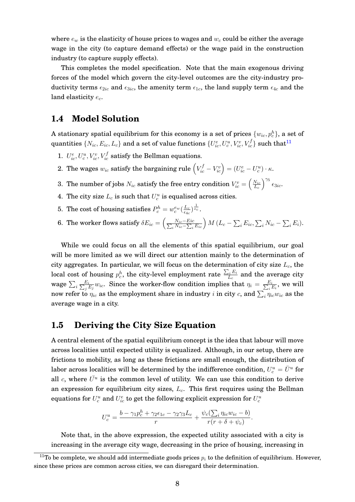where  $e_w$  is the elasticity of house prices to wages and  $w_c$  could be either the average wage in the city (to capture demand effects) or the wage paid in the construction industry (to capture supply effects).

This completes the model specification. Note that the main exogenous driving forces of the model which govern the city-level outcomes are the city-industry productivity terms  $\epsilon_{2ic}$  and  $\epsilon_{3ic}$ , the amenity term  $\epsilon_{1c}$ , the land supply term  $\epsilon_{4c}$  and the land elasticity  $e_c$ .

#### **1.4 Model Solution**

A stationary spatial equilibrium for this economy is a set of prices  $\{w_{ic}, p_c^h\}$ , a set of quantities  $\{N_{ic},E_{ic},L_c\}$  and a set of value functions  $\{U^e_{ic},U^u_{c},V^v_{ic},V^f_{ic}\}$  such that $^{11}$  $^{11}$  $^{11}$ 

- 1.  $U_{ic}^e, U_{c}^u, V_{ic}^v, V_{ic}^f$  satisfy the Bellman equations.
- 2. The wages  $w_{ic}$  satisfy the bargaining rule  $\left(V^f_{ic} V^v_{ic}\right) = \left(U^e_{ic} U^u_c\right) \cdot \kappa.$
- 3. The number of jobs  $N_{ic}$  satisfy the free entry condition  $V_{ic}^{v} = \left(\frac{N_{ic}}{L_{ci}}\right)^{2}$  $\frac{N_{ic}}{L_c}\bigg)^{\gamma_5}$   $\epsilon_{3ic}$ .
- 4. The city size  $L_c$  is such that  $U_c^u$  is equalised across cities.
- 5. The cost of housing satisfies  $P_c^h = w_c^{e_w}(\frac{L_c}{\epsilon_4 \epsilon_6})$  $\frac{L_c}{\epsilon_{4c}}\big)^{\frac{1}{e_c}}.$
- 6. The worker flows satisfy  $\delta E_{ic} = \left(\frac{N_{ic}-Eic}{\sum_{i} N_{ic}-\sum_{i} k_{j}}\right)$  $\frac{N_{ic}-Eic}{N_{ic}-\sum_{i}E_{ic}}\Big)$  M  $(L_{c}-\sum_{i}E_{ic},\sum_{i}N_{ic}-\sum_{i}E_{i}).$

While we could focus on all the elements of this spatial equilibrium, our goal will be more limited as we will direct our attention mainly to the determination of city aggregates. In particular, we will focus on the determination of city size  $L_c$ , the local cost of housing  $p_c^h$ , the city-level employment rate  $\frac{\sum_i E_i}{L_c}$  $\frac{Li^{L}L_{i}}{L_{c}}$  and the average city wage  $\sum_i \frac{E_i}{\sum_i I}$  $\frac{E_i}{\delta^j} w_{ic}.$  Since the worker-flow condition implies that  $\eta_i = \frac{E_i}{\sum_i \eta_i}$  $\frac{E_i}{i\,E_i}$ , we will now refer to  $\eta_{ic}$  as the employment share in industry  $i$  in city  $c$ , and  $\sum_i \eta_{ic}w_{ic}$  as the average wage in a city.

### **1.5 Deriving the City Size Equation**

A central element of the spatial equilibrium concept is the idea that labour will move across localities until expected utility is equalized. Although, in our setup, there are frictions to mobility, as long as these frictions are small enough, the distribution of labor across localities will be determined by the indifference condition,  $U_c^u = \bar{U}^u$  for all c, where  $\bar{U}^u$  is the common level of utility. We can use this condition to derive an expression for equilibrium city sizes,  $L_c$ . This first requires using the Bellman equations for  $U^u_c$  and  $U^e_{ic}$  to get the following explicit expression for  $U^u_c$ 

$$
U_c^u = \frac{b - \gamma_1 p_c^h + \gamma_2 \epsilon_{1c} - \gamma_2 \gamma_3 L_c}{r} + \frac{\psi_c(\sum_i \eta_{ic} w_{ic} - b)}{r(r + \delta + \psi_c)}.
$$

Note that, in the above expression, the expected utility associated with a city is increasing in the average city wage, decreasing in the price of housing, increasing in

<span id="page-8-0"></span><sup>&</sup>lt;sup>11</sup>To be complete, we should add intermediate goods prices  $p_i$  to the definition of equilibrium. However, since these prices are common across cities, we can disregard their determination.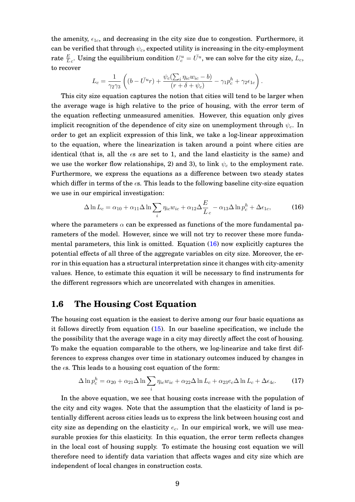the amenity,  $\epsilon_{1c}$ , and decreasing in the city size due to congestion. Furthermore, it can be verified that through  $\psi_c$ , expected utility is increasing in the city-employment rate  $\frac{E}{L_c}$ . Using the equilibrium condition  $U_c^u=\bar{U^u}$ , we can solve for the city size,  $L_c$ , to recover

$$
L_c = \frac{1}{\gamma_2 \gamma_3} \left( (b - \bar{U^u}r) + \frac{\psi_c(\sum_i \eta_{ic} w_{ic} - b)}{(r + \delta + \psi_c)} - \gamma_1 p_c^h + \gamma_2 \epsilon_{1c} \right).
$$

This city size equation captures the notion that cities will tend to be larger when the average wage is high relative to the price of housing, with the error term of the equation reflecting unmeasured amenities. However, this equation only gives implicit recognition of the dependence of city size on unemployment through  $\psi_c$ . In order to get an explicit expression of this link, we take a log-linear approximation to the equation, where the linearization is taken around a point where cities are identical (that is, all the  $\epsilon s$  are set to 1, and the land elasticity is the same) and we use the worker flow relationships, 2) and 3), to link  $\psi_c$  to the employment rate. Furthermore, we express the equations as a difference between two steady states which differ in terms of the  $\epsilon$ s. This leads to the following baseline city-size equation we use in our empirical investigation:

<span id="page-9-0"></span>
$$
\Delta \ln L_c = \alpha_{10} + \alpha_{11} \Delta \ln \sum_i \eta_{ic} w_{ic} + \alpha_{12} \Delta \frac{E}{L_c} - \alpha_{13} \Delta \ln p_c^h + \Delta \epsilon_{1c},\tag{16}
$$

where the parameters  $\alpha$  can be expressed as functions of the more fundamental parameters of the model. However, since we will not try to recover these more fundamental parameters, this link is omitted. Equation  $(16)$  now explicitly captures the potential effects of all three of the aggregate variables on city size. Moreover, the error in this equation has a structural interpretation since it changes with city-amenity values. Hence, to estimate this equation it will be necessary to find instruments for the different regressors which are uncorrelated with changes in amenities.

#### **1.6 The Housing Cost Equation**

The housing cost equation is the easiest to derive among our four basic equations as it follows directly from equation [\(15\)](#page-7-0). In our baseline specification, we include the the possibility that the average wage in a city may directly affect the cost of housing. To make the equation comparable to the others, we log-linearize and take first differences to express changes over time in stationary outcomes induced by changes in the  $\epsilon$ s. This leads to a housing cost equation of the form:

<span id="page-9-1"></span>
$$
\Delta \ln p_c^h = \alpha_{20} + \alpha_{21} \Delta \ln \sum_i \eta_{ic} w_{ic} + \alpha_{22} \Delta \ln L_c + \alpha_{23} e_c \Delta \ln L_c + \Delta \epsilon_{4c}.
$$
 (17)

In the above equation, we see that housing costs increase with the population of the city and city wages. Note that the assumption that the elasticity of land is potentially different across cities leads us to express the link between housing cost and city size as depending on the elasticity  $e_c$ . In our empirical work, we will use measurable proxies for this elasticity. In this equation, the error term reflects changes in the local cost of housing supply. To estimate the housing cost equation we will therefore need to identify data variation that affects wages and city size which are independent of local changes in construction costs.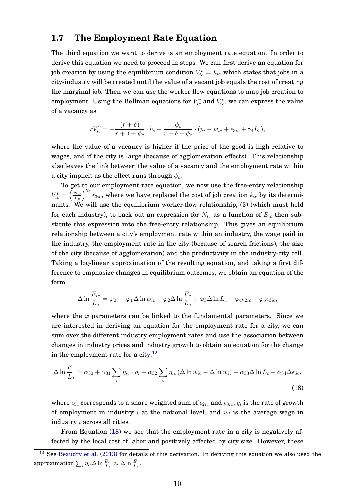#### **1.7 The Employment Rate Equation**

The third equation we want to derive is an employment rate equation. In order to derive this equation we need to proceed in steps. We can first derive an equation for job creation by using the equilibrium condition  $V_{ic}^v = k_{ic}$  which states that jobs in a city-industry will be created until the value of a vacant job equals the cost of creating the marginal job. Then we can use the worker flow equations to map job creation to employment. Using the Bellman equations for  $V_{ic}^v$  and  $V_{ic}^e$ , we can express the value of a vacancy as

$$
rV_{ic}^{v} = -\frac{(r+\delta)}{r+\delta+\phi_c} \cdot h_i + \frac{\phi_c}{r+\delta+\phi_c} \cdot (p_i - w_{ic} + \epsilon_{3ic} + \gamma_4 L_c),
$$

where the value of a vacancy is higher if the price of the good is high relative to wages, and if the city is large (because of agglomeration effects). This relationship also leaves the link between the value of a vacancy and the employment rate within a city implicit as the effect runs through  $\phi_c$ .

To get to our employment rate equation, we now use the free-entry relationship  $V_{ic}^{v}=\left(\frac{N_{ic}}{L_{c}}\right)$  $\left(\frac{N_{ic}}{L_c}\right)^{\gamma_5} \epsilon_{3ic}$ , where we have replaced the cost of job creation  $k_{ic}$  by its determinants. We will use the equilibrium worker-flow relationship, (3) (which must hold for each industry), to back out an expression for  $N_{ic}$  as a function of  $E_{ic}$  then substitute this expression into the free-entry relationship. This gives an equilibrium relationship between a city's employment rate within an industry, the wage paid in the industry, the employment rate in the city (because of search frictions), the size of the city (because of agglomeration) and the productivity in the industry-city cell. Taking a log-linear approximation of the resulting equation, and taking a first difference to emphasize changes in equilibrium outcomes, we obtain an equation of the form

<span id="page-10-1"></span>
$$
\Delta \ln \frac{E_{ic}}{L_c} = \varphi_{0i} - \varphi_1 \Delta \ln w_{ic} + \varphi_2 \Delta \ln \frac{E_c}{L_c} + \varphi_3 \Delta \ln L_c + \varphi_4 \epsilon_{2ic} - \varphi_5 \epsilon_{3ic},
$$

where the  $\varphi$  parameters can be linked to the fundamental parameters. Since we are interested in deriving an equation for the employment rate for a city, we can sum over the different industry employment rates and use the association between changes in industry prices and industry growth to obtain an equation for the change in the employment rate for a city: $12$ 

$$
\Delta \ln \frac{E}{L_c} = \alpha_{30} + \alpha_{31} \sum_i \eta_{ic} \cdot g_i - \alpha_{32} \sum_i \eta_{ic} (\Delta \ln w_{ic} - \Delta \ln w_i) + \alpha_{33} \Delta \ln L_c + \alpha_{34} \Delta \epsilon_{5c},
$$
\n(18)

where  $\epsilon_{5c}$  corresponds to a share weighted sum of  $\epsilon_{2ic}$  and  $\epsilon_{3ic}$ ,  $g_i$  is the rate of growth of employment in industry  $i$  at the national level, and  $w_i$  is the average wage in industry i across all cities.

From Equation [\(18\)](#page-10-1) we see that the employment rate in a city is negatively affected by the local cost of labor and positively affected by city size. However, these

<span id="page-10-0"></span> $12$  See [Beaudry et al.](#page-30-1) [\(2013\)](#page-30-1) for details of this derivation. In deriving this equation we also used the  $\textrm{approximation} \, \sum_i \eta_{ic} \Delta \ln \frac{E_{ic}}{L_c} \approx \Delta \ln \frac{E_c}{L_c}.$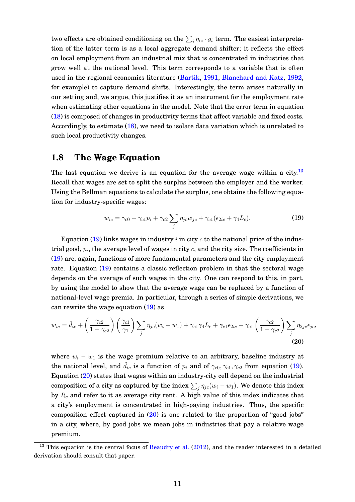two effects are obtained conditioning on the  $\sum_i \eta_{ic} \cdot g_i$  term. The easiest interpretation of the latter term is as a local aggregate demand shifter; it reflects the effect on local employment from an industrial mix that is concentrated in industries that grow well at the national level. This term corresponds to a variable that is often used in the regional economics literature [\(Bartik,](#page-30-5) [1991;](#page-30-5) [Blanchard and Katz,](#page-30-6) [1992,](#page-30-6) for example) to capture demand shifts. Interestingly, the term arises naturally in our setting and, we argue, this justifies it as an instrument for the employment rate when estimating other equations in the model. Note that the error term in equation [\(18\)](#page-10-1) is composed of changes in productivity terms that affect variable and fixed costs. Accordingly, to estimate [\(18\)](#page-10-1), we need to isolate data variation which is unrelated to such local productivity changes.

### **1.8 The Wage Equation**

The last equation we derive is an equation for the average wage within a city.<sup>[13](#page-11-0)</sup> Recall that wages are set to split the surplus between the employer and the worker. Using the Bellman equations to calculate the surplus, one obtains the following equation for industry-specific wages:

<span id="page-11-2"></span><span id="page-11-1"></span>
$$
w_{ic} = \gamma_{c0} + \gamma_{c1} p_i + \gamma_{c2} \sum_j \eta_{jc} w_{jc} + \gamma_{c1} (\epsilon_{2ic} + \gamma_4 L_c).
$$
 (19)

Equation [\(19\)](#page-11-1) links wages in industry i in city c to the national price of the industrial good,  $p_i$ , the average level of wages in city  $c,$  and the city size. The coefficients in [\(19\)](#page-11-1) are, again, functions of more fundamental parameters and the city employment rate. Equation [\(19\)](#page-11-1) contains a classic reflection problem in that the sectoral wage depends on the average of such wages in the city. One can respond to this, in part, by using the model to show that the average wage can be replaced by a function of national-level wage premia. In particular, through a series of simple derivations, we can rewrite the wage equation [\(19\)](#page-11-1) as

$$
w_{ic} = \tilde{d}_{ic} + \left(\frac{\gamma_{c2}}{1 - \gamma_{c2}}\right) \left(\frac{\gamma_{c1}}{\gamma_1}\right) \sum_j \eta_{jc}(w_i - w_1) + \gamma_{c1}\gamma_4 L_c + \gamma_{c1}\epsilon_{2ic} + \gamma_{c1} \left(\frac{\gamma_{c2}}{1 - \gamma_{c2}}\right) \sum_j \eta_{2jc}\epsilon_{jc},\tag{20}
$$

where  $w_i - w_1$  is the wage premium relative to an arbitrary, baseline industry at the national level, and  $\tilde{d}_{ic}$  is a function of  $p_i$  and of  $\gamma_{c0}, \gamma_{c1}, \gamma_{c2}$  from equation [\(19\)](#page-11-1). Equation [\(20\)](#page-11-2) states that wages within an industry-city cell depend on the industrial composition of a city as captured by the index  $\sum_j \eta_{jc}(w_i - w_1).$  We denote this index by  $R_c$  and refer to it as average city rent. A high value of this index indicates that a city's employment is concentrated in high-paying industries. Thus, the specific composition effect captured in [\(20\)](#page-11-2) is one related to the proportion of "good jobs" in a city, where, by good jobs we mean jobs in industries that pay a relative wage premium.

<span id="page-11-0"></span> $13$  This equation is the central focus of [Beaudry et al.](#page-30-0) [\(2012\)](#page-30-0), and the reader interested in a detailed derivation should consult that paper.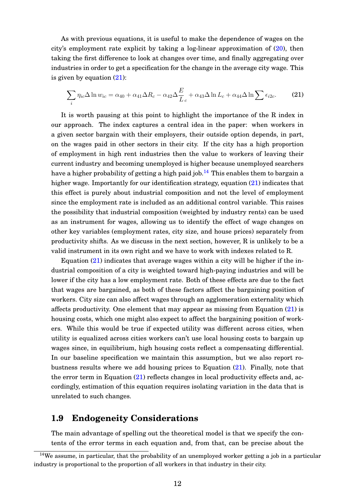As with previous equations, it is useful to make the dependence of wages on the city's employment rate explicit by taking a log-linear approximation of [\(20\)](#page-11-2), then taking the first difference to look at changes over time, and finally aggregating over industries in order to get a specification for the change in the average city wage. This is given by equation  $(21)$ :

<span id="page-12-0"></span>
$$
\sum_{i} \eta_{ic} \Delta \ln w_{ic} = \alpha_{40} + \alpha_{41} \Delta R_c - \alpha_{42} \Delta \frac{E}{L_c} + \alpha_{43} \Delta \ln L_c + \alpha_{44} \Delta \ln \sum \epsilon_{i2c}.
$$
 (21)

It is worth pausing at this point to highlight the importance of the R index in our approach. The index captures a central idea in the paper: when workers in a given sector bargain with their employers, their outside option depends, in part, on the wages paid in other sectors in their city. If the city has a high proportion of employment in high rent industries then the value to workers of leaving their current industry and becoming unemployed is higher because unemployed searchers have a higher probability of getting a high paid job.<sup>[14](#page-12-1)</sup> This enables them to bargain a higher wage. Importantly for our identification strategy, equation [\(21\)](#page-12-0) indicates that this effect is purely about industrial composition and not the level of employment since the employment rate is included as an additional control variable. This raises the possibility that industrial composition (weighted by industry rents) can be used as an instrument for wages, allowing us to identify the effect of wage changes on other key variables (employment rates, city size, and house prices) separately from productivity shifts. As we discuss in the next section, however, R is unlikely to be a valid instrument in its own right and we have to work with indexes related to R.

Equation [\(21\)](#page-12-0) indicates that average wages within a city will be higher if the industrial composition of a city is weighted toward high-paying industries and will be lower if the city has a low employment rate. Both of these effects are due to the fact that wages are bargained, as both of these factors affect the bargaining position of workers. City size can also affect wages through an agglomeration externality which affects productivity. One element that may appear as missing from Equation  $(21)$  is housing costs, which one might also expect to affect the bargaining position of workers. While this would be true if expected utility was different across cities, when utility is equalized across cities workers can't use local housing costs to bargain up wages since, in equilibrium, high housing costs reflect a compensating differential. In our baseline specification we maintain this assumption, but we also report robustness results where we add housing prices to Equation  $(21)$ . Finally, note that the error term in Equation  $(21)$  reflects changes in local productivity effects and, accordingly, estimation of this equation requires isolating variation in the data that is unrelated to such changes.

#### <span id="page-12-2"></span>**1.9 Endogeneity Considerations**

The main advantage of spelling out the theoretical model is that we specify the contents of the error terms in each equation and, from that, can be precise about the

<span id="page-12-1"></span> $14$ We assume, in particular, that the probability of an unemployed worker getting a job in a particular industry is proportional to the proportion of all workers in that industry in their city.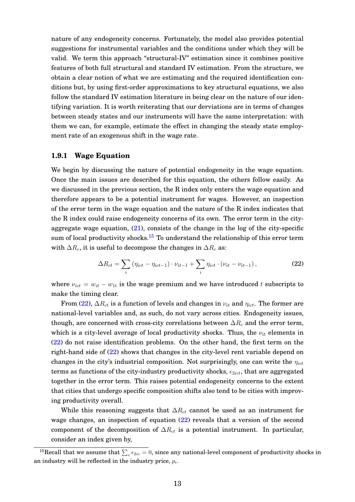nature of any endogeneity concerns. Fortunately, the model also provides potential suggestions for instrumental variables and the conditions under which they will be valid. We term this approach "structural-IV" estimation since it combines positive features of both full structural and standard IV estimation. From the structure, we obtain a clear notion of what we are estimating and the required identification conditions but, by using first-order approximations to key structural equations, we also follow the standard IV estimation literature in being clear on the nature of our identifying variation. It is worth reiterating that our derviations are in terms of changes between steady states and our instruments will have the same interpretation: with them we can, for example, estimate the effect in changing the steady state employment rate of an exogenous shift in the wage rate.

#### **1.9.1 Wage Equation**

We begin by discussing the nature of potential endogeneity in the wage equation. Once the main issues are described for this equation, the others follow easily. As we discussed in the previous section, the R index only enters the wage equation and therefore appears to be a potential instrument for wages. However, an inspection of the error term in the wage equation and the nature of the R index indicates that the R index could raise endogeneity concerns of its own. The error term in the cityaggregate wage equation,  $(21)$ , consists of the change in the log of the city-specific sum of local productivity shocks.<sup>[15](#page-13-0)</sup> To understand the relationship of this error term with  $\Delta R_c$ , it is useful to decompose the changes in  $\Delta R_c$  as:

<span id="page-13-1"></span>
$$
\Delta R_{ct} = \sum_{i} \left( \eta_{ict} - \eta_{ict-1} \right) \cdot \nu_{it-1} + \sum_{i} \eta_{ict} \cdot \left( \nu_{it} - \nu_{it-1} \right),\tag{22}
$$

where  $\nu_{ict} = w_{it} - w_{1t}$  is the wage premium and we have introduced t subscripts to make the timing clear.

From [\(22\)](#page-13-1),  $\Delta R_{ct}$  is a function of levels and changes in  $\nu_{it}$  and  $\eta_{ict}$ . The former are national-level variables and, as such, do not vary across cities. Endogeneity issues, though, are concerned with cross-city correlations between  $\Delta R_c$  and the error term, which is a city-level average of local productivity shocks. Thus, the  $\nu_{it}$  elements in [\(22\)](#page-13-1) do not raise identification problems. On the other hand, the first term on the right-hand side of [\(22\)](#page-13-1) shows that changes in the city-level rent variable depend on changes in the city's industrial composition. Not surprisingly, one can write the  $\eta_{ict}$ terms as functions of the city-industry productivity shocks,  $\epsilon_{2ict}$ , that are aggregated together in the error term. This raises potential endogeneity concerns to the extent that cities that undergo specific composition shifts also tend to be cities with improving productivity overall.

While this reasoning suggests that  $\Delta R_{ct}$  cannot be used as an instrument for wage changes, an inspection of equation [\(22\)](#page-13-1) reveals that a version of the second component of the decomposition of  $\Delta R_{ct}$  is a potential instrument. In particular, consider an index given by,

<span id="page-13-0"></span><sup>&</sup>lt;sup>15</sup>Recall that we assume that  $\sum_{c} \epsilon_{2ic} = 0$ , since any national-level component of productivity shocks in an industry will be reflected in the industry price,  $p_i$ .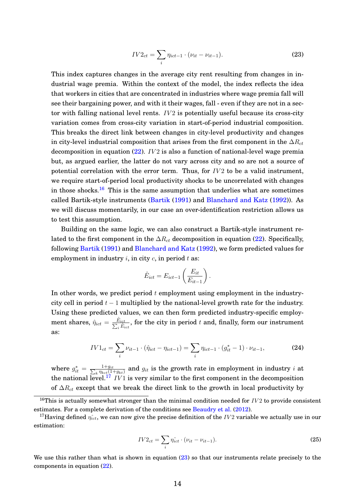<span id="page-14-2"></span>
$$
IV2_{ct} = \sum_{i} \eta_{ict-1} \cdot (\nu_{it} - \nu_{it-1}). \tag{23}
$$

This index captures changes in the average city rent resulting from changes in industrial wage premia. Within the context of the model, the index reflects the idea that workers in cities that are concentrated in industries where wage premia fall will see their bargaining power, and with it their wages, fall - even if they are not in a sector with falling national level rents.  $IV2$  is potentially useful because its cross-city variation comes from cross-city variation in start-of-period industrial composition. This breaks the direct link between changes in city-level productivity and changes in city-level industrial composition that arises from the first component in the  $\Delta R_{ct}$ decomposition in equation  $(22)$ . *IV2* is also a function of national-level wage premia but, as argued earlier, the latter do not vary across city and so are not a source of potential correlation with the error term. Thus, for  $IV2$  to be a valid instrument, we require start-of-period local productivity shocks to be uncorrelated with changes in those shocks.<sup>[16](#page-14-0)</sup> This is the same assumption that underlies what are sometimes called Bartik-style instruments [\(Bartik](#page-30-5) [\(1991\)](#page-30-5) and [Blanchard and Katz](#page-30-6) [\(1992\)](#page-30-6)). As we will discuss momentarily, in our case an over-identification restriction allows us to test this assumption.

Building on the same logic, we can also construct a Bartik-style instrument related to the first component in the  $\Delta R_{ct}$  decomposition in equation [\(22\)](#page-13-1). Specifically, following [Bartik](#page-30-5) [\(1991\)](#page-30-5) and [Blanchard and Katz](#page-30-6) [\(1992\)](#page-30-6), we form predicted values for employment in industry  $i$ , in city  $c$ , in period  $t$  as:

$$
\hat{E}_{ict} = E_{ict-1} \left( \frac{E_{it}}{E_{it-1}} \right).
$$

In other words, we predict period  $t$  employment using employment in the industrycity cell in period  $t - 1$  multiplied by the national-level growth rate for the industry. Using these predicted values, we can then form predicted industry-specific employment shares,  $\hat{\eta}_{ict}=\frac{\hat{E}_{ict}}{\sum_i \hat{E}_{ict}},$  for the city in period  $t$  and, finally, form our instrument as:

$$
IV1_{ct} = \sum_{i} \nu_{it-1} \cdot (\hat{\eta}_{ict} - \eta_{ict-1}) = \sum_{i} \eta_{ict-1} \cdot (g_{it}^* - 1) \cdot \nu_{it-1},
$$
 (24)

where  $g_{it}^* = \frac{1+g_{it}}{\sum_k \eta_{kct}(1+\epsilon)}$  $\frac{1+g_{it}}{k\eta_{ket}(1+g_{kt})}$  and  $g_{it}$  is the growth rate in employment in industry  $i$  at the national level.<sup>[17](#page-14-1)</sup> IV1 is very similar to the first component in the decomposition of  $\Delta R_{ct}$  except that we break the direct link to the growth in local productivity by

$$
IV2_{ct} = \sum_{i} \hat{\eta_{ict}} \cdot (\nu_{it} - \nu_{it-1}).
$$
 (25)

We use this rather than what is shown in equation [\(23\)](#page-14-2) so that our instruments relate precisely to the components in equation [\(22\)](#page-13-1).

<span id="page-14-0"></span><sup>&</sup>lt;sup>16</sup>This is actually somewhat stronger than the minimal condition needed for  $IV2$  to provide consistent estimates. For a complete derivation of the conditions see [Beaudry et al.](#page-30-0) [\(2012\)](#page-30-0).

<span id="page-14-1"></span><sup>&</sup>lt;sup>17</sup>Having defined  $\eta_{ict}^{\circ}$ , we can now give the precise definition of the *IV*2 variable we actually use in our estimation: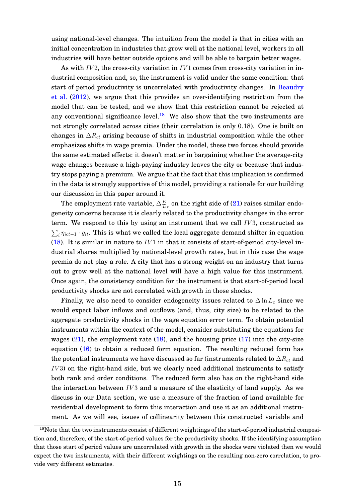using national-level changes. The intuition from the model is that in cities with an initial concentration in industries that grow well at the national level, workers in all industries will have better outside options and will be able to bargain better wages.

As with  $IV2$ , the cross-city variation in  $IV1$  comes from cross-city variation in industrial composition and, so, the instrument is valid under the same condition: that start of period productivity is uncorrelated with productivity changes. In [Beaudry](#page-30-0) [et al.](#page-30-0) [\(2012\)](#page-30-0), we argue that this provides an over-identifying restriction from the model that can be tested, and we show that this restriction cannot be rejected at any conventional significance level.<sup>[18](#page-15-0)</sup> We also show that the two instruments are not strongly correlated across cities (their correlation is only 0.18). One is built on changes in  $\Delta R_{ct}$  arising because of shifts in industrial composition while the other emphasizes shifts in wage premia. Under the model, these two forces should provide the same estimated effects: it doesn't matter in bargaining whether the average-city wage changes because a high-paying industry leaves the city or because that industry stops paying a premium. We argue that the fact that this implication is confirmed in the data is strongly supportive of this model, providing a rationale for our building our discussion in this paper around it.

The employment rate variable,  $\Delta \frac{E}{L}_c$  on the right side of [\(21\)](#page-12-0) raises similar endogeneity concerns because it is clearly related to the productivity changes in the error term. We respond to this by using an instrument that we call  $IV3$ , constructed as  $\sum_i \eta_{ict-1} \cdot g_{it}.$  This is what we called the local aggregate demand shifter in equation [\(18\)](#page-10-1). It is similar in nature to  $IV1$  in that it consists of start-of-period city-level industrial shares multiplied by national-level growth rates, but in this case the wage premia do not play a role. A city that has a strong weight on an industry that turns out to grow well at the national level will have a high value for this instrument. Once again, the consistency condition for the instrument is that start-of-period local productivity shocks are not correlated with growth in those shocks.

Finally, we also need to consider endogeneity issues related to  $\Delta \ln L_c$  since we would expect labor inflows and outflows (and, thus, city size) to be related to the aggregate productivity shocks in the wage equation error term. To obtain potential instruments within the context of the model, consider substituting the equations for wages  $(21)$ , the employment rate  $(18)$ , and the housing price  $(17)$  into the city-size equation [\(16\)](#page-9-0) to obtain a reduced form equation. The resulting reduced form has the potential instruments we have discussed so far (instruments related to  $\Delta R_{ct}$  and  $IV3$ ) on the right-hand side, but we clearly need additional instruments to satisfy both rank and order conditions. The reduced form also has on the right-hand side the interaction between  $IV3$  and a measure of the elasticity of land supply. As we discuss in our Data section, we use a measure of the fraction of land available for residential development to form this interaction and use it as an additional instrument. As we will see, issues of collinearity between this constructed variable and

<span id="page-15-0"></span><sup>&</sup>lt;sup>18</sup>Note that the two instruments consist of different weightings of the start-of-period industrial composition and, therefore, of the start-of-period values for the productivity shocks. If the identifying assumption that those start of period values are uncorrelated with growth in the shocks were violated then we would expect the two instruments, with their different weightings on the resulting non-zero correlation, to provide very different estimates.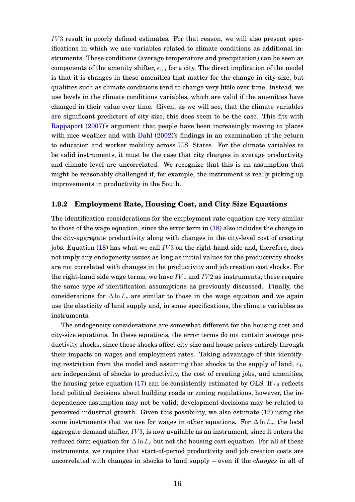IV 3 result in poorly defined estimates. For that reason, we will also present specifications in which we use variables related to climate conditions as additional instruments. These conditions (average temperature and precipitation) can be seen as components of the amenity shifter,  $\epsilon_{1c}$ , for a city. The direct implication of the model is that it is changes in these amenities that matter for the change in city size, but qualities such as climate conditions tend to change very little over time. Instead, we use levels in the climate conditions variables, which are valid if the amenities have changed in their value over time. Given, as we will see, that the climate variables are significant predictors of city size, this does seem to be the case. This fits with [Rappaport](#page-31-6) [\(2007\)](#page-31-6)'s argument that people have been increasingly moving to places with nice weather and with [Dahl](#page-30-7) [\(2002\)](#page-30-7)'s findings in an examination of the return to education and worker mobility across U.S. States. For the climate variables to be valid instruments, it must be the case that city changes in average productivity and climate level are uncorrelated. We recognize that this is an assumption that might be reasonably challenged if, for example, the instrument is really picking up improvements in productivity in the South.

#### **1.9.2 Employment Rate, Housing Cost, and City Size Equations**

The identification considerations for the employment rate equation are very similar to those of the wage equation, since the error term in [\(18\)](#page-10-1) also includes the change in the city-aggregate productivity along with changes in the city-level cost of creating jobs. Equation  $(18)$  has what we call IV3 on the right-hand side and, therefore, does not imply any endogeneity issues as long as initial values for the productivity shocks are not correlated with changes in the productivity and job creation cost shocks. For the right-hand side wage terms, we have  $IV1$  and  $IV2$  as instruments; these require the same type of identification assumptions as previously discussed. Finally, the considerations for  $\Delta \ln L_c$  are similar to those in the wage equation and we again use the elasticity of land supply and, in some specifications, the climate variables as instruments.

The endogeneity considerations are somewhat different for the housing cost and city-size equations. In these equations, the error terms do not contain average productivity shocks, since these shocks affect city size and house prices entirely through their impacts on wages and employment rates. Taking advantage of this identifying restriction from the model and assuming that shocks to the supply of land,  $\epsilon_4$ , are independent of shocks to productivity, the cost of creating jobs, and amenities, the housing price equation [\(17\)](#page-9-1) can be consistently estimated by OLS. If  $\epsilon_4$  reflects local political decisions about building roads or zoning regulations, however, the independence assumption may not be valid; development decisions may be related to perceived industrial growth. Given this possibility, we also estimate [\(17\)](#page-9-1) using the same instruments that we use for wages in other equations. For  $\Delta \ln L_c$ , the local aggregate demand shifter,  $IV3$ , is now available as an instrument, since it enters the reduced form equation for  $\Delta \ln L_c$  but not the housing cost equation. For all of these instruments, we require that start-of-period productivity and job creation costs are uncorrelated with changes in shocks to land supply – even if the *changes* in all of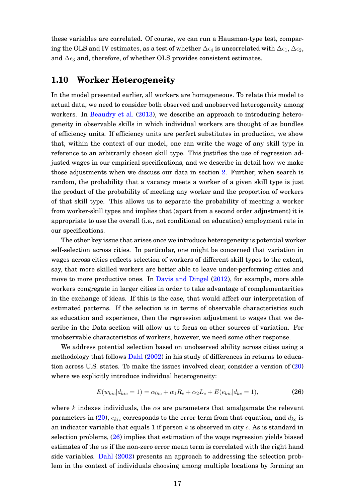these variables are correlated. Of course, we can run a Hausman-type test, comparing the OLS and IV estimates, as a test of whether  $\Delta \epsilon_4$  is uncorrelated with  $\Delta \epsilon_1$ ,  $\Delta \epsilon_2$ , and  $\Delta \epsilon_3$  and, therefore, of whether OLS provides consistent estimates.

#### **1.10 Worker Heterogeneity**

In the model presented earlier, all workers are homogeneous. To relate this model to actual data, we need to consider both observed and unobserved heterogeneity among workers. In [Beaudry et al.](#page-30-1) [\(2013\)](#page-30-1), we describe an approach to introducing heterogeneity in observable skills in which individual workers are thought of as bundles of efficiency units. If efficiency units are perfect substitutes in production, we show that, within the context of our model, one can write the wage of any skill type in reference to an arbitrarily chosen skill type. This justifies the use of regression adjusted wages in our empirical specifications, and we describe in detail how we make those adjustments when we discuss our data in section [2.](#page-18-0) Further, when search is random, the probability that a vacancy meets a worker of a given skill type is just the product of the probability of meeting any worker and the proportion of workers of that skill type. This allows us to separate the probability of meeting a worker from worker-skill types and implies that (apart from a second order adjustment) it is appropriate to use the overall (i.e., not conditional on education) employment rate in our specifications.

The other key issue that arises once we introduce heterogeneity is potential worker self-selection across cities. In particular, one might be concerned that variation in wages across cities reflects selection of workers of different skill types to the extent, say, that more skilled workers are better able to leave under-performing cities and move to more productive ones. In [Davis and Dingel](#page-31-7) [\(2012\)](#page-31-7), for example, more able workers congregate in larger cities in order to take advantage of complementarities in the exchange of ideas. If this is the case, that would affect our interpretation of estimated patterns. If the selection is in terms of observable characteristics such as education and experience, then the regression adjustment to wages that we describe in the Data section will allow us to focus on other sources of variation. For unobservable characteristics of workers, however, we need some other response.

We address potential selection based on unobserved ability across cities using a methodology that follows [Dahl](#page-30-7) [\(2002\)](#page-30-7) in his study of differences in returns to education across U.S. states. To make the issues involved clear, consider a version of [\(20\)](#page-11-2) where we explicitly introduce individual heterogeneity:

<span id="page-17-0"></span>
$$
E(w_{kic}|d_{kic}=1) = \alpha_{0ic} + \alpha_1 R_c + \alpha_2 L_c + E(e_{kic}|d_{kc}=1),
$$
\n(26)

where k indexes individuals, the  $\alpha s$  are parameters that amalgamate the relevant parameters in [\(20\)](#page-11-2),  $e_{kic}$  corresponds to the error term from that equation, and  $d_{kc}$  is an indicator variable that equals 1 if person  $k$  is observed in city  $c$ . As is standard in selection problems, [\(26\)](#page-17-0) implies that estimation of the wage regression yields biased estimates of the  $\alpha$ s if the non-zero error mean term is correlated with the right hand side variables. [Dahl](#page-30-7) [\(2002\)](#page-30-7) presents an approach to addressing the selection problem in the context of individuals choosing among multiple locations by forming an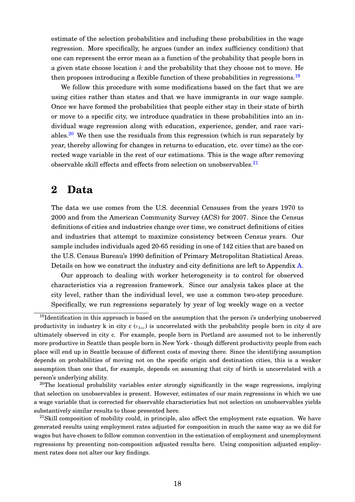estimate of the selection probabilities and including these probabilities in the wage regression. More specifically, he argues (under an index sufficiency condition) that one can represent the error mean as a function of the probability that people born in a given state choose location  $k$  and the probability that they choose not to move. He then proposes introducing a flexible function of these probabilities in regressions.<sup>[19](#page-18-1)</sup>

We follow this procedure with some modifications based on the fact that we are using cities rather than states and that we have immigrants in our wage sample. Once we have formed the probabilities that people either stay in their state of birth or move to a specific city, we introduce quadratics in these probabilities into an individual wage regression along with education, experience, gender, and race vari-ables.<sup>[20](#page-18-2)</sup> We then use the residuals from this regression (which is run separately by year, thereby allowing for changes in returns to education, etc. over time) as the corrected wage variable in the rest of our estimations. This is the wage after removing observable skill effects and effects from selection on unobservables.<sup>[21](#page-18-3)</sup>

## <span id="page-18-0"></span>**2 Data**

The data we use comes from the U.S. decennial Censuses from the years 1970 to 2000 and from the American Community Survey (ACS) for 2007. Since the Census definitions of cities and industries change over time, we construct definitions of cities and industries that attempt to maximize consistency between Census years. Our sample includes individuals aged 20-65 residing in one of 142 cities that are based on the U.S. Census Bureau's 1990 definition of Primary Metropolitan Statistical Areas. Details on how we construct the industry and city definitions are left to Appendix [A.](#page-32-2)

Our approach to dealing with worker heterogeneity is to control for observed characteristics via a regression framework. Since our analysis takes place at the city level, rather than the individual level, we use a common two-step procedure. Specifically, we run regressions separately by year of log weekly wage on a vector

<span id="page-18-1"></span><sup>&</sup>lt;sup>19</sup>Identification in this approach is based on the assumption that the person i's underlying unobserved productivity in industry k in city c  $(e_{kic})$  is uncorrelated with the probability people born in city d are ultimately observed in city c. For example, people born in Portland are assumed not to be inherently more productive in Seattle than people born in New York - though different productivity people from each place will end up in Seattle because of different costs of moving there. Since the identifying assumption depends on probabilities of moving not on the specific origin and destination cities, this is a weaker assumption than one that, for example, depends on assuming that city of birth is uncorrelated with a person's underlying ability.

<span id="page-18-2"></span><sup>&</sup>lt;sup>20</sup>The locational probability variables enter strongly significantly in the wage regressions, implying that selection on unobservables is present. However, estimates of our main regressions in which we use a wage variable that is corrected for observable characteristics but not selection on unobservables yields substantively similar results to those presented here.

<span id="page-18-3"></span><sup>21</sup>Skill composition of mobility could, in principle, also affect the employment rate equation. We have generated results using employment rates adjusted for composition in much the same way as we did for wages but have chosen to follow common convention in the estimation of employment and unemployment regressions by presenting non-composition adjusted results here. Using composition adjusted employment rates does not alter our key findings.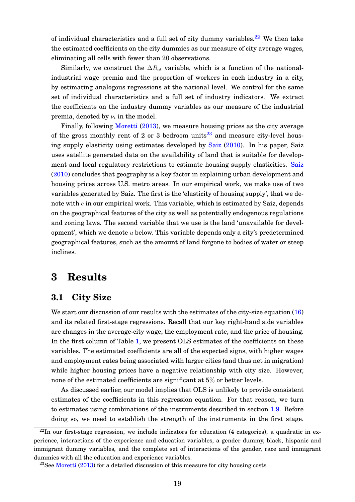of individual characteristics and a full set of city dummy variables.<sup>[22](#page-19-0)</sup> We then take the estimated coefficients on the city dummies as our measure of city average wages, eliminating all cells with fewer than 20 observations.

Similarly, we construct the  $\Delta R_{ct}$  variable, which is a function of the nationalindustrial wage premia and the proportion of workers in each industry in a city, by estimating analogous regressions at the national level. We control for the same set of individual characteristics and a full set of industry indicators. We extract the coefficients on the industry dummy variables as our measure of the industrial premia, denoted by  $\nu_i$  in the model.

Finally, following [Moretti](#page-31-8) [\(2013\)](#page-31-8), we measure housing prices as the city average of the gross monthly rent of 2 or 3 bedroom units<sup>[23](#page-19-1)</sup> and measure city-level housing supply elasticity using estimates developed by [Saiz](#page-32-1) [\(2010\)](#page-32-1). In his paper, Saiz uses satellite generated data on the availability of land that is suitable for develop-ment and local regulatory restrictions to estimate housing supply elasticities. [Saiz](#page-32-1) [\(2010\)](#page-32-1) concludes that geography is a key factor in explaining urban development and housing prices across U.S. metro areas. In our empirical work, we make use of two variables generated by Saiz. The first is the 'elasticity of housing supply', that we denote with  $e$  in our empirical work. This variable, which is estimated by Saiz, depends on the geographical features of the city as well as potentially endogenous regulations and zoning laws. The second variable that we use is the land 'unavailable for development', which we denote  $u$  below. This variable depends only a city's predetermined geographical features, such as the amount of land forgone to bodies of water or steep inclines.

## **3 Results**

### **3.1 City Size**

We start our discussion of our results with the estimates of the city-size equation [\(16\)](#page-9-0) and its related first-stage regressions. Recall that our key right-hand side variables are changes in the average-city wage, the employment rate, and the price of housing. In the first column of Table [1,](#page-34-0) we present OLS estimates of the coefficients on these variables. The estimated coefficients are all of the expected signs, with higher wages and employment rates being associated with larger cities (and thus net in migration) while higher housing prices have a negative relationship with city size. However, none of the estimated coefficients are significant at 5% or better levels.

As discussed earlier, our model implies that OLS is unlikely to provide consistent estimates of the coefficients in this regression equation. For that reason, we turn to estimates using combinations of the instruments described in section [1.9.](#page-12-2) Before doing so, we need to establish the strength of the instruments in the first stage.

<span id="page-19-0"></span> $^{22}$ In our first-stage regression, we include indicators for education (4 categories), a quadratic in experience, interactions of the experience and education variables, a gender dummy, black, hispanic and immigrant dummy variables, and the complete set of interactions of the gender, race and immigrant dummies with all the education and experience variables.

<span id="page-19-1"></span> $23$ See [Moretti](#page-31-8) [\(2013\)](#page-31-8) for a detailed discussion of this measure for city housing costs.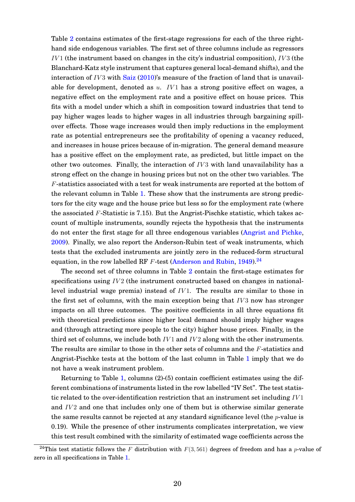Table [2](#page-35-0) contains estimates of the first-stage regressions for each of the three righthand side endogenous variables. The first set of three columns include as regressors  $IV1$  (the instrument based on changes in the city's industrial composition),  $IV3$  (the Blanchard-Katz style instrument that captures general local-demand shifts), and the interaction of  $IV3$  with [Saiz](#page-32-1) [\(2010\)](#page-32-1)'s measure of the fraction of land that is unavailable for development, denoted as  $u$ .  $IV1$  has a strong positive effect on wages, a negative effect on the employment rate and a positive effect on house prices. This fits with a model under which a shift in composition toward industries that tend to pay higher wages leads to higher wages in all industries through bargaining spillover effects. Those wage increases would then imply reductions in the employment rate as potential entrepreneurs see the profitability of opening a vacancy reduced, and increases in house prices because of in-migration. The general demand measure has a positive effect on the employment rate, as predicted, but little impact on the other two outcomes. Finally, the interaction of  $IV3$  with land unavailability has a strong effect on the change in housing prices but not on the other two variables. The F-statistics associated with a test for weak instruments are reported at the bottom of the relevant column in Table [1.](#page-34-0) These show that the instruments are strong predictors for the city wage and the house price but less so for the employment rate (where the associated F-Statistic is 7.15). But the Angrist-Pischke statistic, which takes account of multiple instruments, soundly rejects the hypothesis that the instruments do not enter the first stage for all three endogenous variables [\(Angrist and Pichke,](#page-30-8) [2009\)](#page-30-8). Finally, we also report the Anderson-Rubin test of weak instruments, which tests that the excluded instruments are jointly zero in the reduced-form structural equation, in the row labelled RF  $F$ -test [\(Anderson and Rubin,](#page-30-9) [1949\)](#page-30-9).<sup>[24](#page-20-0)</sup>

The second set of three columns in Table [2](#page-35-0) contain the first-stage estimates for specifications using  $IV2$  (the instrument constructed based on changes in nationallevel industrial wage premia) instead of  $IV1$ . The results are similar to those in the first set of columns, with the main exception being that  $IV3$  now has stronger impacts on all three outcomes. The positive coefficients in all three equations fit with theoretical predictions since higher local demand should imply higher wages and (through attracting more people to the city) higher house prices. Finally, in the third set of columns, we include both  $IV1$  and  $IV2$  along with the other instruments. The results are similar to those in the other sets of columns and the F-statistics and Angrist-Pischke tests at the bottom of the last column in Table [1](#page-34-0) imply that we do not have a weak instrument problem.

Returning to Table [1,](#page-34-0) columns (2)-(5) contain coefficient estimates using the different combinations of instruments listed in the row labelled "IV Set". The test statistic related to the over-identification restriction that an instrument set including  $IV1$ and  $IV2$  and one that includes only one of them but is otherwise similar generate the same results cannot be rejected at any standard significance level (the  $p$ -value is 0.19). While the presence of other instruments complicates interpretation, we view this test result combined with the similarity of estimated wage coefficients across the

<span id="page-20-0"></span><sup>&</sup>lt;sup>24</sup>This test statistic follows the F distribution with  $F(3, 561)$  degrees of freedom and has a p-value of zero in all specifications in Table [1.](#page-34-0)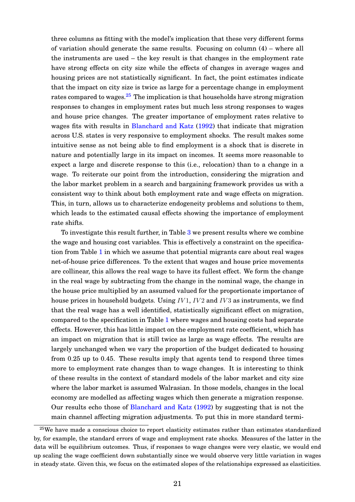three columns as fitting with the model's implication that these very different forms of variation should generate the same results. Focusing on column (4) – where all the instruments are used – the key result is that changes in the employment rate have strong effects on city size while the effects of changes in average wages and housing prices are not statistically significant. In fact, the point estimates indicate that the impact on city size is twice as large for a percentage change in employment rates compared to wages. $25$  The implication is that households have strong migration responses to changes in employment rates but much less strong responses to wages and house price changes. The greater importance of employment rates relative to wages fits with results in [Blanchard and Katz](#page-30-6) [\(1992\)](#page-30-6) that indicate that migration across U.S. states is very responsive to employment shocks. The result makes some intuitive sense as not being able to find employment is a shock that is discrete in nature and potentially large in its impact on incomes. It seems more reasonable to expect a large and discrete response to this (i.e., relocation) than to a change in a wage. To reiterate our point from the introduction, considering the migration and the labor market problem in a search and bargaining framework provides us with a consistent way to think about both employment rate and wage effects on migration. This, in turn, allows us to characterize endogeneity problems and solutions to them, which leads to the estimated causal effects showing the importance of employment rate shifts.

To investigate this result further, in Table [3](#page-36-0) we present results where we combine the wage and housing cost variables. This is effectively a constraint on the specification from Table [1](#page-34-0) in which we assume that potential migrants care about real wages net-of-house price differences. To the extent that wages and house price movements are collinear, this allows the real wage to have its fullest effect. We form the change in the real wage by subtracting from the change in the nominal wage, the change in the house price multiplied by an assumed valued for the proportionate importance of house prices in household budgets. Using  $IV1$ ,  $IV2$  and  $IV3$  as instruments, we find that the real wage has a well identified, statistically significant effect on migration, compared to the specification in Table [1](#page-34-0) where wages and housing costs had separate effects. However, this has little impact on the employment rate coefficient, which has an impact on migration that is still twice as large as wage effects. The results are largely unchanged when we vary the proportion of the budget dedicated to housing from 0.25 up to 0.45. These results imply that agents tend to respond three times more to employment rate changes than to wage changes. It is interesting to think of these results in the context of standard models of the labor market and city size where the labor market is assumed Walrasian. In those models, changes in the local economy are modelled as affecting wages which then generate a migration response. Our results echo those of [Blanchard and Katz](#page-30-6) [\(1992\)](#page-30-6) by suggesting that is not the main channel affecting migration adjustments. To put this in more standard termi-

<span id="page-21-0"></span><sup>&</sup>lt;sup>25</sup>We have made a conscious choice to report elasticity estimates rather than estimates standardized by, for example, the standard errors of wage and employment rate shocks. Measures of the latter in the data will be equilibrium outcomes. Thus, if responses to wage changes were very elastic, we would end up scaling the wage coefficient down substantially since we would observe very little variation in wages in steady state. Given this, we focus on the estimated slopes of the relationships expressed as elasticities.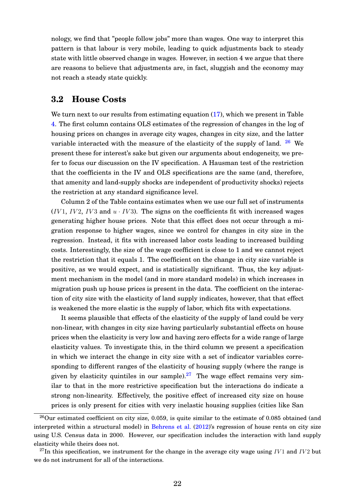nology, we find that "people follow jobs" more than wages. One way to interpret this pattern is that labour is very mobile, leading to quick adjustments back to steady state with little observed change in wages. However, in section 4 we argue that there are reasons to believe that adjustments are, in fact, sluggish and the economy may not reach a steady state quickly.

#### **3.2 House Costs**

We turn next to our results from estimating equation [\(17\)](#page-9-1), which we present in Table [4.](#page-37-0) The first column contains OLS estimates of the regression of changes in the log of housing prices on changes in average city wages, changes in city size, and the latter variable interacted with the measure of the elasticity of the supply of land.  $^{26}$  $^{26}$  $^{26}$  We present these for interest's sake but given our arguments about endogeneity, we prefer to focus our discussion on the IV specification. A Hausman test of the restriction that the coefficients in the IV and OLS specifications are the same (and, therefore, that amenity and land-supply shocks are independent of productivity shocks) rejects the restriction at any standard significance level.

Column 2 of the Table contains estimates when we use our full set of instruments  $(IV1, IV2, IV3 \text{ and } u \cdot IV3)$ . The signs on the coefficients fit with increased wages generating higher house prices. Note that this effect does not occur through a migration response to higher wages, since we control for changes in city size in the regression. Instead, it fits with increased labor costs leading to increased building costs. Interestingly, the size of the wage coefficient is close to 1 and we cannot reject the restriction that it equals 1. The coefficient on the change in city size variable is positive, as we would expect, and is statistically significant. Thus, the key adjustment mechanism in the model (and in more standard models) in which increases in migration push up house prices is present in the data. The coefficient on the interaction of city size with the elasticity of land supply indicates, however, that that effect is weakened the more elastic is the supply of labor, which fits with expectations.

It seems plausible that effects of the elasticity of the supply of land could be very non-linear, with changes in city size having particularly substantial effects on house prices when the elasticity is very low and having zero effects for a wide range of large elasticity values. To investigate this, in the third column we present a specification in which we interact the change in city size with a set of indicator variables corresponding to different ranges of the elasticity of housing supply (where the range is given by elasticity quintiles in our sample).<sup>[27](#page-22-1)</sup> The wage effect remains very similar to that in the more restrictive specification but the interactions do indicate a strong non-linearity. Effectively, the positive effect of increased city size on house prices is only present for cities with very inelastic housing supplies (cities like San

<span id="page-22-0"></span> $^{26}$ Our estimated coefficient on city size, 0.059, is quite similar to the estimate of 0.085 obtained (and interpreted within a structural model) in [Behrens et al.](#page-30-4) [\(2012\)](#page-30-4)'s regression of house rents on city size using U.S. Census data in 2000. However, our specification includes the interaction with land supply elasticity while theirs does not.

<span id="page-22-1"></span><sup>&</sup>lt;sup>27</sup>In this specification, we instrument for the change in the average city wage using IV1 and IV2 but we do not instrument for all of the interactions.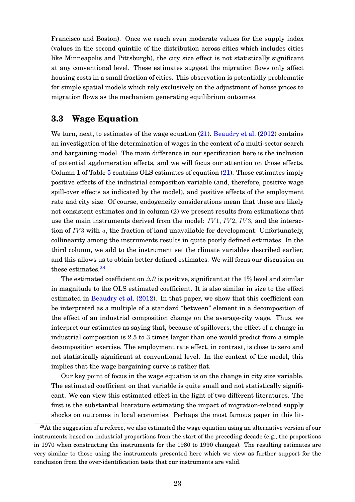Francisco and Boston). Once we reach even moderate values for the supply index (values in the second quintile of the distribution across cities which includes cities like Minneapolis and Pittsburgh), the city size effect is not statistically significant at any conventional level. These estimates suggest the migration flows only affect housing costs in a small fraction of cities. This observation is potentially problematic for simple spatial models which rely exclusively on the adjustment of house prices to migration flows as the mechanism generating equilibrium outcomes.

### **3.3 Wage Equation**

We turn, next, to estimates of the wage equation [\(21\)](#page-12-0). [Beaudry et al.](#page-30-0) [\(2012\)](#page-30-0) contains an investigation of the determination of wages in the context of a multi-sector search and bargaining model. The main difference in our specification here is the inclusion of potential agglomeration effects, and we will focus our attention on those effects. Column 1 of Table [5](#page-38-0) contains OLS estimates of equation  $(21)$ . Those estimates imply positive effects of the industrial composition variable (and, therefore, positive wage spill-over effects as indicated by the model), and positive effects of the employment rate and city size. Of course, endogeneity considerations mean that these are likely not consistent estimates and in column (2) we present results from estimations that use the main instruments derived from the model:  $IV1$ ,  $IV2$ ,  $IV3$ , and the interaction of  $IV3$  with  $u$ , the fraction of land unavailable for development. Unfortunately, collinearity among the instruments results in quite poorly defined estimates. In the third column, we add to the instrument set the climate variables described earlier, and this allows us to obtain better defined estimates. We will focus our discussion on these estimates.<sup>[28](#page-23-0)</sup>

The estimated coefficient on  $\Delta R$  is positive, significant at the 1% level and similar in magnitude to the OLS estimated coefficient. It is also similar in size to the effect estimated in [Beaudry et al.](#page-30-0) [\(2012\)](#page-30-0). In that paper, we show that this coefficient can be interpreted as a multiple of a standard "between" element in a decomposition of the effect of an industrial composition change on the average-city wage. Thus, we interpret our estimates as saying that, because of spillovers, the effect of a change in industrial composition is 2.5 to 3 times larger than one would predict from a simple decomposition exercise. The employment rate effect, in contrast, is close to zero and not statistically significant at conventional level. In the context of the model, this implies that the wage bargaining curve is rather flat.

Our key point of focus in the wage equation is on the change in city size variable. The estimated coefficient on that variable is quite small and not statistically significant. We can view this estimated effect in the light of two different literatures. The first is the substantial literature estimating the impact of migration-related supply shocks on outcomes in local economies. Perhaps the most famous paper in this lit-

<span id="page-23-0"></span> $^{28}$ At the suggestion of a referee, we also estimated the wage equation using an alternative version of our instruments based on industrial proportions from the start of the preceding decade (e.g., the proportions in 1970 when constructing the instruments for the 1980 to 1990 changes). The resulting estimates are very similar to those using the instruments presented here which we view as further support for the conclusion from the over-identification tests that our instruments are valid.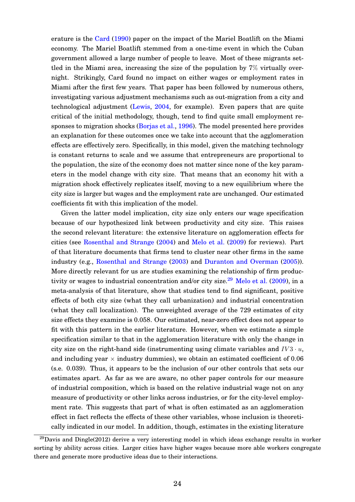erature is the [Card](#page-30-10) [\(1990\)](#page-30-10) paper on the impact of the Mariel Boatlift on the Miami economy. The Mariel Boatlift stemmed from a one-time event in which the Cuban government allowed a large number of people to leave. Most of these migrants settled in the Miami area, increasing the size of the population by 7% virtually overnight. Strikingly, Card found no impact on either wages or employment rates in Miami after the first few years. That paper has been followed by numerous others, investigating various adjustment mechanisms such as out-migration from a city and technological adjustment [\(Lewis,](#page-31-9) [2004,](#page-31-9) for example). Even papers that are quite critical of the initial methodology, though, tend to find quite small employment responses to migration shocks [\(Borjas et al.,](#page-30-11) [1996\)](#page-30-11). The model presented here provides an explanation for these outcomes once we take into account that the agglomeration effects are effectively zero. Specifically, in this model, given the matching technology is constant returns to scale and we assume that entrepreneurs are proportional to the population, the size of the economy does not matter since none of the key parameters in the model change with city size. That means that an economy hit with a migration shock effectively replicates itself, moving to a new equilibrium where the city size is larger but wages and the employment rate are unchanged. Our estimated coefficients fit with this implication of the model.

Given the latter model implication, city size only enters our wage specification because of our hypothesized link between productivity and city size. This raises the second relevant literature: the extensive literature on agglomeration effects for cities (see [Rosenthal and Strange](#page-32-3) [\(2004\)](#page-32-3) and [Melo et al.](#page-31-10) [\(2009\)](#page-31-10) for reviews). Part of that literature documents that firms tend to cluster near other firms in the same industry (e.g., [Rosenthal and Strange](#page-32-4) [\(2003\)](#page-32-4) and [Duranton and Overman](#page-31-11) [\(2005\)](#page-31-11)). More directly relevant for us are studies examining the relationship of firm produc-tivity or wages to industrial concentration and/or city size.<sup>[29](#page-24-0)</sup> [Melo et al.](#page-31-10)  $(2009)$ , in a meta-analysis of that literature, show that studies tend to find significant, positive effects of both city size (what they call urbanization) and industrial concentration (what they call localization). The unweighted average of the 729 estimates of city size effects they examine is 0.058. Our estimated, near-zero effect does not appear to fit with this pattern in the earlier literature. However, when we estimate a simple specification similar to that in the agglomeration literature with only the change in city size on the right-hand side (instrumenting using climate variables and  $IV3 \cdot u$ , and including year  $\times$  industry dummies), we obtain an estimated coefficient of 0.06 (s.e. 0.039). Thus, it appears to be the inclusion of our other controls that sets our estimates apart. As far as we are aware, no other paper controls for our measure of industrial composition, which is based on the relative industrial wage not on any measure of productivity or other links across industries, or for the city-level employment rate. This suggests that part of what is often estimated as an agglomeration effect in fact reflects the effects of these other variables, whose inclusion is theoretically indicated in our model. In addition, though, estimates in the existing literature

<span id="page-24-0"></span><sup>29</sup>Davis and Dingle(2012) derive a very interesting model in which ideas exchange results in worker sorting by ability across cities. Larger cities have higher wages because more able workers congregate there and generate more productive ideas due to their interactions.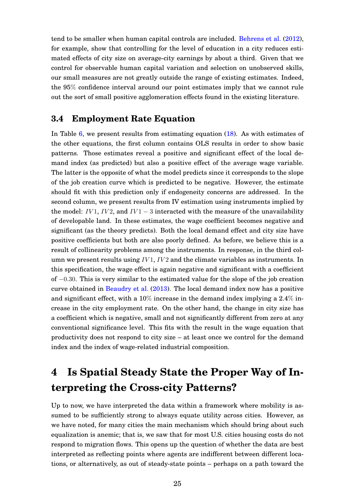tend to be smaller when human capital controls are included. [Behrens et al.](#page-30-4) [\(2012\)](#page-30-4), for example, show that controlling for the level of education in a city reduces estimated effects of city size on average-city earnings by about a third. Given that we control for observable human capital variation and selection on unobserved skills, our small measures are not greatly outside the range of existing estimates. Indeed, the 95% confidence interval around our point estimates imply that we cannot rule out the sort of small positive agglomeration effects found in the existing literature.

### **3.4 Employment Rate Equation**

In Table [6,](#page-39-0) we present results from estimating equation [\(18\)](#page-10-1). As with estimates of the other equations, the first column contains OLS results in order to show basic patterns. Those estimates reveal a positive and significant effect of the local demand index (as predicted) but also a positive effect of the average wage variable. The latter is the opposite of what the model predicts since it corresponds to the slope of the job creation curve which is predicted to be negative. However, the estimate should fit with this prediction only if endogeneity concerns are addressed. In the second column, we present results from IV estimation using instruments implied by the model:  $IV1$ ,  $IV2$ , and  $IV1 - 3$  interacted with the measure of the unavailability of developable land. In these estimates, the wage coefficient becomes negative and significant (as the theory predicts). Both the local demand effect and city size have positive coefficients but both are also poorly defined. As before, we believe this is a result of collinearity problems among the instruments. In response, in the third column we present results using  $IV1$ ,  $IV2$  and the climate variables as instruments. In this specification, the wage effect is again negative and significant with a coefficient of −0.30. This is very similar to the estimated value for the slope of the job creation curve obtained in [Beaudry et al.](#page-30-1) [\(2013\)](#page-30-1). The local demand index now has a positive and significant effect, with a 10% increase in the demand index implying a 2.4% increase in the city employment rate. On the other hand, the change in city size has a coefficient which is negative, small and not significantly different from zero at any conventional significance level. This fits with the result in the wage equation that productivity does not respond to city size – at least once we control for the demand index and the index of wage-related industrial composition.

# **4 Is Spatial Steady State the Proper Way of Interpreting the Cross-city Patterns?**

Up to now, we have interpreted the data within a framework where mobility is assumed to be sufficiently strong to always equate utility across cities. However, as we have noted, for many cities the main mechanism which should bring about such equalization is anemic; that is, we saw that for most U.S. cities housing costs do not respond to migration flows. This opens up the question of whether the data are best interpreted as reflecting points where agents are indifferent between different locations, or alternatively, as out of steady-state points – perhaps on a path toward the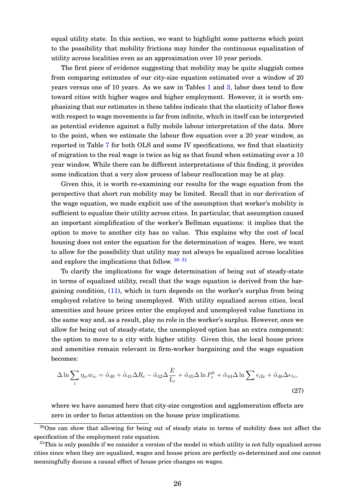equal utility state. In this section, we want to highlight some patterns which point to the possibility that mobility frictions may hinder the continuous equalization of utility across localities even as an approximation over 10 year periods.

The first piece of evidence suggesting that mobility may be quite sluggish comes from comparing estimates of our city-size equation estimated over a window of 20 years versus one of 10 years. As we saw in Tables [1](#page-34-0) and [3,](#page-36-0) labor does tend to flow toward cities with higher wages and higher employment. However, it is worth emphasizing that our estimates in these tables indicate that the elasticity of labor flows with respect to wage movements is far from infinite, which in itself can be interpreted as potential evidence against a fully mobile labour interpretation of the data. More to the point, when we estimate the labour flow equation over a 20 year window, as reported in Table [7](#page-40-0) for both OLS and some IV specifications, we find that elasticity of migration to the real wage is twice as big as that found when estimating over a 10 year window. While there can be different interpretations of this finding, it provides some indication that a very slow process of labour reallocation may be at play.

Given this, it is worth re-examining our results for the wage equation from the perspective that short run mobility may be limited. Recall that in our derivation of the wage equation, we made explicit use of the assumption that worker's mobility is sufficient to equalize their utility across cities. In particular, that assumption caused an important simplification of the worker's Bellman equations: it implies that the option to move to another city has no value. This explains why the cost of local housing does not enter the equation for the determination of wages. Here, we want to allow for the possibility that utility may not always be equalized across localities and explore the implications that follow. [30](#page-26-0) [31](#page-26-1)

To clarify the implications for wage determination of being out of steady-state in terms of equalized utility, recall that the wage equation is derived from the bargaining condition,  $(11)$ , which in turn depends on the worker's surplus from being employed relative to being unemployed. With utility equalized across cities, local amenities and house prices enter the employed and unemployed value functions in the same way and, as a result, play no role in the worker's surplus. However, once we allow for being out of steady-state, the unemployed option has an extra component: the option to move to a city with higher utility. Given this, the local house prices and amenities remain relevant in firm-worker bargaining and the wage equation becomes:

<span id="page-26-2"></span>
$$
\Delta \ln \sum_{i} \eta_{ic} w_{ic} = \tilde{\alpha}_{40} + \tilde{\alpha}_{41} \Delta R_c - \tilde{\alpha}_{42} \Delta \frac{E}{L_c} + \tilde{\alpha}_{45} \Delta \ln P_c^h + \tilde{\alpha}_{44} \Delta \ln \sum \epsilon_{i2c} + \tilde{\alpha}_{46} \Delta \epsilon_{1c},
$$
\n(27)

where we have assumed here that city-size congestion and agglomeration effects are zero in order to focus attention on the house price implications.

<span id="page-26-0"></span><sup>&</sup>lt;sup>30</sup>One can show that allowing for being out of steady state in terms of mobility does not affect the specification of the employment rate equation.

<span id="page-26-1"></span> $31$ This is only possible if we consider a version of the model in which utility is not fully equalized across cities since when they are equalized, wages and house prices are perfectly co-determined and one cannot meaningfully discuss a causal effect of house price changes on wages.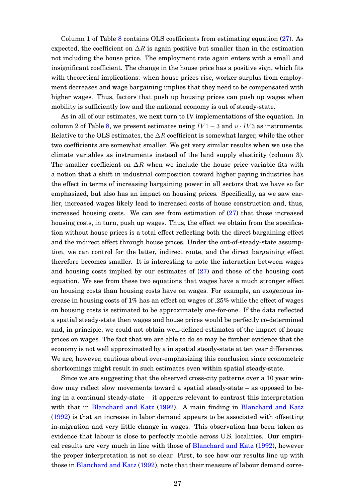Column 1 of Table [8](#page-41-0) contains OLS coefficients from estimating equation [\(27\)](#page-26-2). As expected, the coefficient on  $\Delta R$  is again positive but smaller than in the estimation not including the house price. The employment rate again enters with a small and insignificant coefficient. The change in the house price has a positive sign, which fits with theoretical implications: when house prices rise, worker surplus from employment decreases and wage bargaining implies that they need to be compensated with higher wages. Thus, factors that push up housing prices can push up wages when mobility is sufficiently low and the national economy is out of steady-state.

As in all of our estimates, we next turn to IV implementations of the equation. In column 2 of Table [8,](#page-41-0) we present estimates using  $IV1 - 3$  and  $u \cdot IV3$  as instruments. Relative to the OLS estimates, the  $\Delta R$  coefficient is somewhat larger, while the other two coefficients are somewhat smaller. We get very similar results when we use the climate variables as instruments instead of the land supply elasticity (column 3). The smaller coefficient on  $\Delta R$  when we include the house price variable fits with a notion that a shift in industrial composition toward higher paying industries has the effect in terms of increasing bargaining power in all sectors that we have so far emphasized, but also has an impact on housing prices. Specifically, as we saw earlier, increased wages likely lead to increased costs of house construction and, thus, increased housing costs. We can see from estimation of  $(27)$  that those increased housing costs, in turn, push up wages. Thus, the effect we obtain from the specification without house prices is a total effect reflecting both the direct bargaining effect and the indirect effect through house prices. Under the out-of-steady-state assumption, we can control for the latter, indirect route, and the direct bargaining effect therefore becomes smaller. It is interesting to note the interaction between wages and housing costs implied by our estimates of [\(27\)](#page-26-2) and those of the housing cost equation. We see from these two equations that wages have a much stronger effect on housing costs than housing costs have on wages. For example, an exogenous increase in housing costs of 1% has an effect on wages of .25% while the effect of wages on housing costs is estimated to be approximately one-for-one. If the data reflected a spatial steady-state then wages and house prices would be perfectly co-determined and, in principle, we could not obtain well-defined estimates of the impact of house prices on wages. The fact that we are able to do so may be further evidence that the economy is not well approximated by a in spatial steady-state at ten year differences. We are, however, cautious about over-emphasizing this conclusion since econometric shortcomings might result in such estimates even within spatial steady-state.

Since we are suggesting that the observed cross-city patterns over a 10 year window may reflect slow movements toward a spatial steady-state – as opposed to being in a continual steady-state – it appears relevant to contrast this interpretation with that in [Blanchard and Katz](#page-30-6) [\(1992\)](#page-30-6). A main finding in [Blanchard and Katz](#page-30-6) [\(1992\)](#page-30-6) is that an increase in labor demand appears to be associated with offsetting in-migration and very little change in wages. This observation has been taken as evidence that labour is close to perfectly mobile across U.S. localities. Our empirical results are very much in line with those of [Blanchard and Katz](#page-30-6) [\(1992\)](#page-30-6), however the proper interpretation is not so clear. First, to see how our results line up with those in [Blanchard and Katz](#page-30-6) [\(1992\)](#page-30-6), note that their measure of labour demand corre-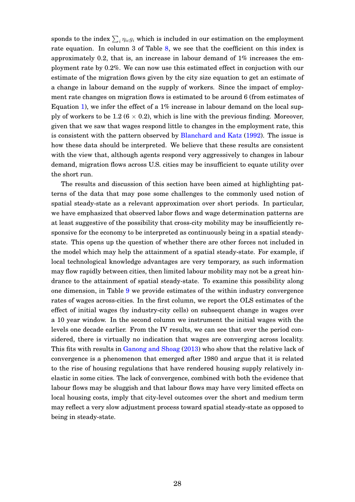sponds to the index  $\sum_i \eta_{ic} g_i$  which is included in our estimation on the employment rate equation. In column 3 of Table [8,](#page-41-0) we see that the coefficient on this index is approximately 0.2, that is, an increase in labour demand of 1% increases the employment rate by 0.2%. We can now use this estimated effect in conjuction with our estimate of the migration flows given by the city size equation to get an estimate of a change in labour demand on the supply of workers. Since the impact of employment rate changes on migration flows is estimated to be around 6 (from estimates of Equation [1\)](#page-34-0), we infer the effect of a  $1\%$  increase in labour demand on the local supply of workers to be 1.2 ( $6 \times 0.2$ ), which is line with the previous finding. Moreover, given that we saw that wages respond little to changes in the employment rate, this is consistent with the pattern observed by [Blanchard and Katz](#page-30-6) [\(1992\)](#page-30-6). The issue is how these data should be interpreted. We believe that these results are consistent with the view that, although agents respond very aggressively to changes in labour demand, migration flows across U.S. cities may be insufficient to equate utility over the short run.

The results and discussion of this section have been aimed at highlighting patterns of the data that may pose some challenges to the commonly used notion of spatial steady-state as a relevant approximation over short periods. In particular, we have emphasized that observed labor flows and wage determination patterns are at least suggestive of the possibility that cross-city mobility may be insufficiently responsive for the economy to be interpreted as continuously being in a spatial steadystate. This opens up the question of whether there are other forces not included in the model which may help the attainment of a spatial steady-state. For example, if local technological knowledge advantages are very temporary, as such information may flow rapidly between cities, then limited labour mobility may not be a great hindrance to the attainment of spatial steady-state. To examine this possibility along one dimension, in Table [9](#page-42-0) we provide estimates of the within industry convergence rates of wages across-cities. In the first column, we report the OLS estimates of the effect of initial wages (by industry-city cells) on subsequent change in wages over a 10 year window. In the second column we instrument the initial wages with the levels one decade earlier. From the IV results, we can see that over the period considered, there is virtually no indication that wages are converging across locality. This fits with results in [Ganong and Shoag](#page-31-12) [\(2013\)](#page-31-12) who show that the relative lack of convergence is a phenomenon that emerged after 1980 and argue that it is related to the rise of housing regulations that have rendered housing supply relatively inelastic in some cities. The lack of convergence, combined with both the evidence that labour flows may be sluggish and that labour flows may have very limited effects on local housing costs, imply that city-level outcomes over the short and medium term may reflect a very slow adjustment process toward spatial steady-state as opposed to being in steady-state.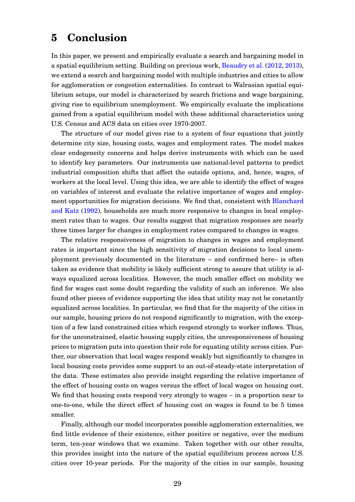## **5 Conclusion**

In this paper, we present and empirically evaluate a search and bargaining model in a spatial equilibrium setting. Building on previous work, [Beaudry et al.](#page-30-0) [\(2012,](#page-30-0) [2013\)](#page-30-1), we extend a search and bargaining model with multiple industries and cities to allow for agglomeration or congestion externalities. In contrast to Walrasian spatial equilibrium setups, our model is characterized by search frictions and wage bargaining, giving rise to equilibrium unemployment. We empirically evaluate the implications gained from a spatial equilibrium model with these additional characteristics using U.S. Census and ACS data on cities over 1970-2007.

The structure of our model gives rise to a system of four equations that jointly determine city size, housing costs, wages and employment rates. The model makes clear endogeneity concerns and helps derive instruments with which can be used to identify key parameters. Our instruments use national-level patterns to predict industrial composition shifts that affect the outside options, and, hence, wages, of workers at the local level. Using this idea, we are able to identify the effect of wages on variables of interest and evaluate the relative importance of wages and employment opportunities for migration decisions. We find that, consistent with [Blanchard](#page-30-6) [and Katz](#page-30-6) [\(1992\)](#page-30-6), households are much more responsive to changes in local employment rates than to wages. Our results suggest that migration responses are nearly three times larger for changes in employment rates compared to changes in wages.

The relative responsiveness of migration to changes in wages and employment rates is important since the high sensitivity of migration decisions to local unemployment previously documented in the literature – and confirmed here– is often taken as evidence that mobility is likely sufficient strong to assure that utility is always equalized across localities. However, the much smaller effect on mobility we find for wages cast some doubt regarding the validity of such an inference. We also found other pieces of evidence supporting the idea that utility may not be constantly equalized across localities. In particular, we find that for the majority of the cities in our sample, housing prices do not respond significantly to migration, with the exception of a few land constrained cities which respond strongly to worker inflows. Thus, for the unconstrained, elastic housing supply cities, the unresponsiveness of housing prices to migration puts into question their role for equating utility across cities. Further, our observation that local wages respond weakly but significantly to changes in local housing costs provides some support to an out-of-steady-state interpretation of the data. These estimates also provide insight regarding the relative importance of the effect of housing costs on wages versus the effect of local wages on housing cost. We find that housing costs respond very strongly to wages – in a proportion near to one-to-one, while the direct effect of housing cost on wages is found to be 5 times smaller.

Finally, although our model incorporates possible agglomeration externalities, we find little evidence of their existence, either positive or negative, over the medium term, ten-year windows that we examine. Taken together with our other results, this provides insight into the nature of the spatial equilibrium process across U.S. cities over 10-year periods. For the majority of the cities in our sample, housing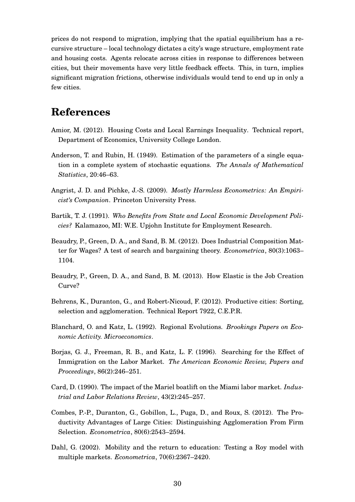prices do not respond to migration, implying that the spatial equilibrium has a recursive structure – local technology dictates a city's wage structure, employment rate and housing costs. Agents relocate across cities in response to differences between cities, but their movements have very little feedback effects. This, in turn, implies significant migration frictions, otherwise individuals would tend to end up in only a few cities.

## **References**

- <span id="page-30-2"></span>Amior, M. (2012). Housing Costs and Local Earnings Inequality. Technical report, Department of Economics, University College London.
- <span id="page-30-9"></span>Anderson, T. and Rubin, H. (1949). Estimation of the parameters of a single equation in a complete system of stochastic equations. *The Annals of Mathematical Statistics*, 20:46–63.
- <span id="page-30-8"></span>Angrist, J. D. and Pichke, J.-S. (2009). *Mostly Harmless Econometrics: An Empiricist's Companion*. Princeton University Press.
- <span id="page-30-5"></span>Bartik, T. J. (1991). *Who Benefits from State and Local Economic Development Policies?* Kalamazoo, MI: W.E. Upjohn Institute for Employment Research.
- <span id="page-30-0"></span>Beaudry, P., Green, D. A., and Sand, B. M. (2012). Does Industrial Composition Matter for Wages? A test of search and bargaining theory. *Econometrica*, 80(3):1063– 1104.
- <span id="page-30-1"></span>Beaudry, P., Green, D. A., and Sand, B. M. (2013). How Elastic is the Job Creation Curve?
- <span id="page-30-4"></span>Behrens, K., Duranton, G., and Robert-Nicoud, F. (2012). Productive cities: Sorting, selection and agglomeration. Technical Report 7922, C.E.P.R.
- <span id="page-30-6"></span>Blanchard, O. and Katz, L. (1992). Regional Evolutions. *Brookings Papers on Economic Activity. Microeconomics*.
- <span id="page-30-11"></span>Borjas, G. J., Freeman, R. B., and Katz, L. F. (1996). Searching for the Effect of Immigration on the Labor Market. *The American Economic Review, Papers and Proceedings*, 86(2):246–251.
- <span id="page-30-10"></span>Card, D. (1990). The impact of the Mariel boatlift on the Miami labor market. *Industrial and Labor Relations Review*, 43(2):245–257.
- <span id="page-30-3"></span>Combes, P.-P., Duranton, G., Gobillon, L., Puga, D., and Roux, S. (2012). The Productivity Advantages of Large Cities: Distinguishing Agglomeration From Firm Selection. *Econometrica*, 80(6):2543–2594.
- <span id="page-30-7"></span>Dahl, G. (2002). Mobility and the return to education: Testing a Roy model with multiple markets. *Econometrica*, 70(6):2367–2420.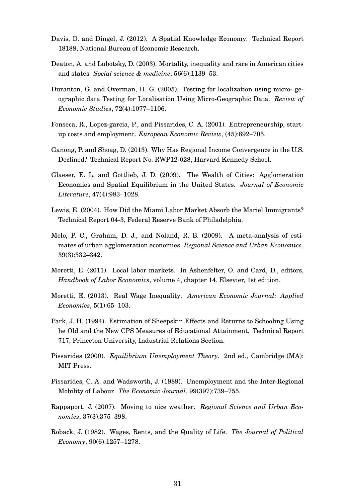- <span id="page-31-7"></span>Davis, D. and Dingel, J. (2012). A Spatial Knowledge Economy. Technical Report 18188, National Bureau of Economic Research.
- <span id="page-31-14"></span>Deaton, A. and Lubotsky, D. (2003). Mortality, inequality and race in American cities and states. *Social science & medicine*, 56(6):1139–53.
- <span id="page-31-11"></span>Duranton, G. and Overman, H. G. (2005). Testing for localization using micro- geographic data Testing for Localisation Using Micro-Geographic Data. *Review of Economic Studies*, 72(4):1077–1106.
- <span id="page-31-5"></span>Fonseca, R., Lopez-garcia, P., and Pissarides, C. A. (2001). Entrepreneurship, startup costs and employment. *European Economic Review*, (45):692–705.
- <span id="page-31-12"></span>Ganong, P. and Shoag, D. (2013). Why Has Regional Income Convergence in the U.S. Declined? Technical Report No. RWP12-028, Harvard Kennedy School.
- <span id="page-31-2"></span>Glaeser, E. L. and Gottlieb, J. D. (2009). The Wealth of Cities: Agglomeration Economies and Spatial Equilibrium in the United States. *Journal of Economic Literature*, 47(4):983–1028.
- <span id="page-31-9"></span>Lewis, E. (2004). How Did the Miami Labor Market Absorb the Mariel Immigrants? Technical Report 04-3, Federal Reserve Bank of Philadelphia.
- <span id="page-31-10"></span>Melo, P. C., Graham, D. J., and Noland, R. B. (2009). A meta-analysis of estimates of urban agglomeration economies. *Regional Science and Urban Economics*, 39(3):332–342.
- <span id="page-31-3"></span>Moretti, E. (2011). Local labor markets. In Ashenfelter, O. and Card, D., editors, *Handbook of Labor Economics*, volume 4, chapter 14. Elsevier, 1st edition.
- <span id="page-31-8"></span>Moretti, E. (2013). Real Wage Inequality. *American Economic Journal: Applied Economics*, 5(1):65–103.
- <span id="page-31-13"></span>Park, J. H. (1994). Estimation of Sheepskin Effects and Returns to Schooling Using he Old and the New CPS Measures of Educational Attainment. Technical Report 717, Princeton University, Industrial Relations Section.
- <span id="page-31-0"></span>Pissarides (2000). *Equilibrium Unemployment Theory*. 2nd ed., Cambridge (MA): MIT Press.
- <span id="page-31-4"></span>Pissarides, C. A. and Wadsworth, J. (1989). Unemployment and the Inter-Regional Mobility of Labour. *The Economic Journal*, 99(397):739–755.
- <span id="page-31-6"></span>Rappaport, J. (2007). Moving to nice weather. *Regional Science and Urban Economics*, 37(3):375–398.
- <span id="page-31-1"></span>Roback, J. (1982). Wages, Rents, and the Quality of Life. *The Journal of Political Economy*, 90(6):1257–1278.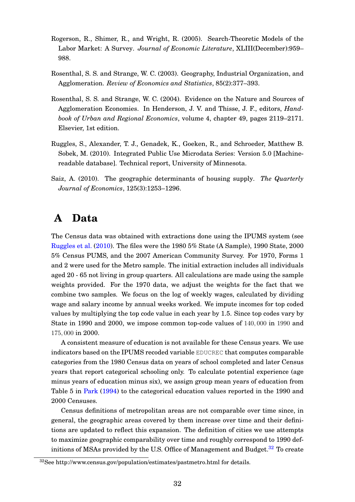- <span id="page-32-0"></span>Rogerson, R., Shimer, R., and Wright, R. (2005). Search-Theoretic Models of the Labor Market: A Survey. *Journal of Economic Literature*, XLIII(December):959– 988.
- <span id="page-32-4"></span>Rosenthal, S. S. and Strange, W. C. (2003). Geography, Industrial Organization, and Agglomeration. *Review of Economics and Statistics*, 85(2):377–393.
- <span id="page-32-3"></span>Rosenthal, S. S. and Strange, W. C. (2004). Evidence on the Nature and Sources of Agglomeration Economies. In Henderson, J. V. and Thisse, J. F., editors, *Handbook of Urban and Regional Economics*, volume 4, chapter 49, pages 2119–2171. Elsevier, 1st edition.
- <span id="page-32-5"></span>Ruggles, S., Alexander, T. J., Genadek, K., Goeken, R., and Schroeder, Matthew B. Sobek, M. (2010). Integrated Public Use Microdata Series: Version 5.0 [Machinereadable database]. Technical report, University of Minnesota.
- <span id="page-32-1"></span>Saiz, A. (2010). The geographic determinants of housing supply. *The Quarterly Journal of Economics*, 125(3):1253–1296.

# <span id="page-32-2"></span>**A Data**

The Census data was obtained with extractions done using the IPUMS system (see [Ruggles et al.](#page-32-5) [\(2010\)](#page-32-5). The files were the 1980 5% State (A Sample), 1990 State, 2000 5% Census PUMS, and the 2007 American Community Survey. For 1970, Forms 1 and 2 were used for the Metro sample. The initial extraction includes all individuals aged 20 - 65 not living in group quarters. All calculations are made using the sample weights provided. For the 1970 data, we adjust the weights for the fact that we combine two samples. We focus on the log of weekly wages, calculated by dividing wage and salary income by annual weeks worked. We impute incomes for top coded values by multiplying the top code value in each year by 1.5. Since top codes vary by State in 1990 and 2000, we impose common top-code values of 140, 000 in 1990 and 175, 000 in 2000.

A consistent measure of education is not available for these Census years. We use indicators based on the IPUMS recoded variable EDUCREC that computes comparable categories from the 1980 Census data on years of school completed and later Census years that report categorical schooling only. To calculate potential experience (age minus years of education minus six), we assign group mean years of education from Table 5 in [Park](#page-31-13) [\(1994\)](#page-31-13) to the categorical education values reported in the 1990 and 2000 Censuses.

Census definitions of metropolitan areas are not comparable over time since, in general, the geographic areas covered by them increase over time and their definitions are updated to reflect this expansion. The definition of cities we use attempts to maximize geographic comparability over time and roughly correspond to 1990 definitions of MSAs provided by the U.S. Office of Management and Budget. $32$  To create

<span id="page-32-6"></span><sup>32</sup>See http://www.census.gov/population/estimates/pastmetro.html for details.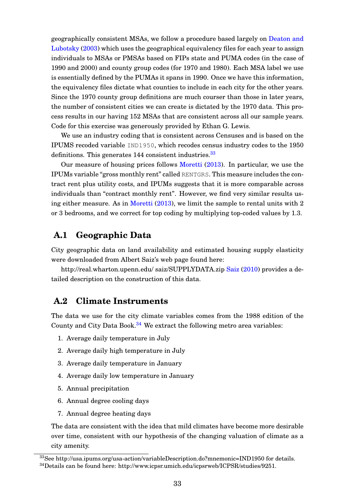geographically consistent MSAs, we follow a procedure based largely on [Deaton and](#page-31-14) [Lubotsky](#page-31-14) [\(2003\)](#page-31-14) which uses the geographical equivalency files for each year to assign individuals to MSAs or PMSAs based on FIPs state and PUMA codes (in the case of 1990 and 2000) and county group codes (for 1970 and 1980). Each MSA label we use is essentially defined by the PUMAs it spans in 1990. Once we have this information, the equivalency files dictate what counties to include in each city for the other years. Since the 1970 county group definitions are much courser than those in later years, the number of consistent cities we can create is dictated by the 1970 data. This process results in our having 152 MSAs that are consistent across all our sample years. Code for this exercise was generously provided by Ethan G. Lewis.

We use an industry coding that is consistent across Censuses and is based on the IPUMS recoded variable IND1950, which recodes census industry codes to the 1950 definitions. This generates 144 consistent industries.<sup>[33](#page-33-0)</sup>

Our measure of housing prices follows [Moretti](#page-31-8) [\(2013\)](#page-31-8). In particular, we use the IPUMs variable "gross monthly rent" called RENTGRS. This measure includes the contract rent plus utility costs, and IPUMs suggests that it is more comparable across individuals than "contract monthly rent". However, we find very similar results using either measure. As in [Moretti](#page-31-8) [\(2013\)](#page-31-8), we limit the sample to rental units with 2 or 3 bedrooms, and we correct for top coding by multiplying top-coded values by 1.3.

## **A.1 Geographic Data**

City geographic data on land availability and estimated housing supply elasticity were downloaded from Albert Saiz's web page found here:

http://real.wharton.upenn.edu/ saiz/SUPPLYDATA.zip [Saiz](#page-32-1) [\(2010\)](#page-32-1) provides a detailed description on the construction of this data.

### **A.2 Climate Instruments**

The data we use for the city climate variables comes from the 1988 edition of the County and City Data Book.<sup>[34](#page-33-1)</sup> We extract the following metro area variables:

- 1. Average daily temperature in July
- 2. Average daily high temperature in July
- 3. Average daily temperature in January
- 4. Average daily low temperature in January
- 5. Annual precipitation
- 6. Annual degree cooling days
- 7. Annual degree heating days

The data are consistent with the idea that mild climates have become more desirable over time, consistent with our hypothesis of the changing valuation of climate as a city amenity.

<span id="page-33-1"></span><span id="page-33-0"></span><sup>33</sup>See http://usa.ipums.org/usa-action/variableDescription.do?mnemonic=IND1950 for details. <sup>34</sup>Details can be found here: http://www.icpsr.umich.edu/icpsrweb/ICPSR/studies/9251.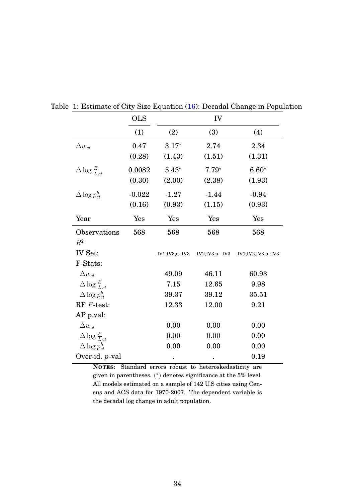<span id="page-34-0"></span>

|                                | <b>OLS</b> |                         | IV                      |                      |
|--------------------------------|------------|-------------------------|-------------------------|----------------------|
|                                | (1)        | (2)                     | (3)                     | (4)                  |
| $\Delta w_{ct}$                | 0.47       | $3.17*$                 | 2.74                    | 2.34                 |
|                                | (0.28)     | (1.43)                  | (1.51)                  | (1.31)               |
| $\Delta \log \frac{E}{L_{ct}}$ | 0.0082     | $5.43*$                 | $7.79*$                 | $6.60*$              |
|                                | (0.30)     | (2.00)                  | (2.38)                  | (1.93)               |
| $\Delta \log p_{ct}^h$         | $-0.022$   | $-1.27$                 | $-1.44$                 | $-0.94$              |
|                                | (0.16)     | (0.93)                  | (1.15)                  | (0.93)               |
| $\operatorname{Year}$          | Yes        | Yes                     | Yes                     | Yes                  |
| Observations                   | 568        | 568                     | 568                     | 568                  |
| $R^2$                          |            |                         |                         |                      |
| IV Set:                        |            | $IV1, IV3, u \cdot IV3$ | $IV2, IV3, u \cdot IV3$ | IV1, IV2, IV3, u IV3 |
| F-Stats:                       |            |                         |                         |                      |
| $\Delta w_{ct}$                |            | 49.09                   | 46.11                   | 60.93                |
| $\Delta \log \frac{E}{L_{ct}}$ |            | 7.15                    | 12.65                   | 9.98                 |
| $\Delta \log p_{ct}^h$         |            | 39.37                   | 39.12                   | 35.51                |
| $RF$ $F$ -test:                |            | 12.33                   | 12.00                   | 9.21                 |
| $AP$ p.val:                    |            |                         |                         |                      |
| $\Delta w_{ct}$                |            | 0.00                    | 0.00                    | 0.00                 |
| $\Delta \log \frac{E}{L_{ct}}$ |            | 0.00                    | 0.00                    | 0.00                 |
| $\Delta \log p_{ct}^h$         |            | 0.00                    | 0.00                    | 0.00                 |
| Over-id. p-val                 |            |                         |                         | 0.19                 |

Table 1: Estimate of City Size Equation [\(16\)](#page-9-0): Decadal Change in Population

**NOTES**: Standard errors robust to heteroskedasticity are given in parentheses. ( ∗ ) denotes significance at the 5% level. All models estimated on a sample of 142 U.S cities using Census and ACS data for 1970-2007. The dependent variable is the decadal log change in adult population.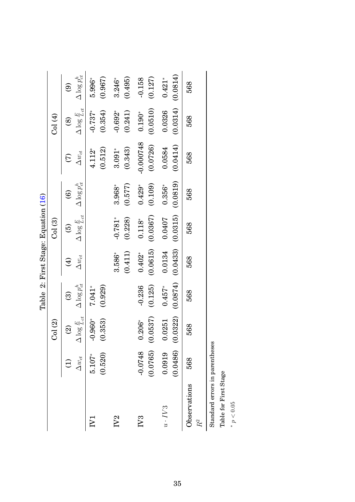<span id="page-35-0"></span>

|                               |                 |                           |                            |                 | Table 2: First Stage: Equation (16) |                          |                 |                           |                        |
|-------------------------------|-----------------|---------------------------|----------------------------|-----------------|-------------------------------------|--------------------------|-----------------|---------------------------|------------------------|
|                               |                 | 20(2)                     |                            |                 | Col(3)                              |                          |                 | Col(4)                    |                        |
|                               | $\bigoplus$     | $\widehat{\mathfrak{D}}$  | වි                         | $\bigoplus$     | $\widehat{\mathbf{e}}$              | $\widehat{\mathfrak{S}}$ |                 | $\circledS$               | $\odot$                |
|                               | $\Delta w_{ct}$ | $\Delta \log \frac{E}{L}$ | $\Delta \log p_{\sigma}^h$ | $\Delta w_{ct}$ | $\Delta \log \frac{E}{L}$           | $\Delta \log p_{ct}^h$   | $\Delta w_{ct}$ | $\Delta \log \frac{E}{L}$ | $\Delta \log p_{ct}^h$ |
| $\overline{\rm{V1}}$          | $5.107*$        | $-0.960*$                 | $7.041*$                   |                 |                                     |                          | 4.112*          | $-0.737*$                 | $5.996*$               |
|                               | (0.520)         | (0.353)                   | (0.929)                    |                 |                                     |                          | (0.512)         | (0.354)                   | (0.967)                |
| IV <sub>2</sub>               |                 |                           |                            | $3.586*$        | $-0.781*$                           | $3.968*$                 | $3.091*$        | $-0.692*$                 | $3.246*$               |
|                               |                 |                           |                            | (0.411)         | (0.228)                             | (0.577)                  | (0.343)         | (0.241)                   | (0.495)                |
| IV <sub>3</sub>               | $-0.0748$       | $0.206*$                  | $-0.236$                   | $0.402*$        | $0.118*$                            | $0.429*$                 | $-0.000748$     | $0.190*$                  | $-0.158$               |
|                               | (0.0765)        | .0537)                    | (0.125)                    | (0.0615)        | (0.0367)                            | (0.109)                  | (0.0726)        | (0.0510)                  | (0.127)                |
| $u\cdot IV3$                  | 0.0919          | 0.0251                    | $0.457*$                   | 0.0134          | 0.0407                              | $0.356*$                 | 0.0584          | 0.0326                    | $0.421*$               |
|                               | (0.0486)        | .0322)                    | (0.0874)                   | (0.0433)        | (0.0315)                            | (0.0819)                 | (0.0414)        | (0.0314)                  | (0.0814)               |
| Observations                  | 568             | 568                       | 568                        | 568             | 568                                 | 568                      | 568             | 568                       | 568                    |
| $R^2$                         |                 |                           |                            |                 |                                     |                          |                 |                           |                        |
| Stordard amare in naranthogas |                 |                           |                            |                 |                                     |                          |                 |                           |                        |

Standard errors in parentheses Standard errors in parentheses

Table for First Stage Table for First Stage

 $* p < 0.05$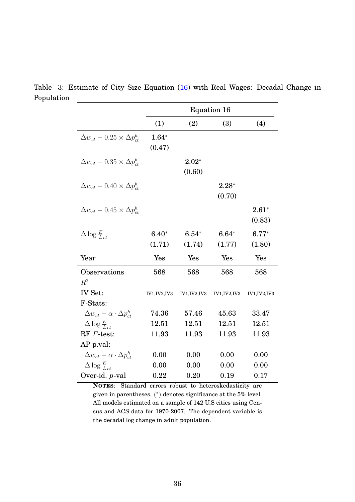<span id="page-36-0"></span>

|                                                |                   |               | <b>Equation 16</b> |               |
|------------------------------------------------|-------------------|---------------|--------------------|---------------|
|                                                | (1)               | (2)           | (3)                | (4)           |
| $\Delta w_{ct} - 0.25 \times \Delta p_{ct}^h$  | $1.64*$           |               |                    |               |
|                                                | (0.47)            |               |                    |               |
| $\Delta w_{ct} - 0.35 \times \Delta p_{ct}^h$  |                   | $2.02*$       |                    |               |
|                                                |                   | (0.60)        |                    |               |
| $\Delta w_{ct} - 0.40 \times \Delta p_{ct}^h$  |                   |               | $2.28*$            |               |
|                                                |                   |               | (0.70)             |               |
| $\Delta w_{ct} - 0.45 \times \Delta p_{ct}^h$  |                   |               |                    | $2.61^*$      |
|                                                |                   |               |                    | (0.83)        |
| $\Delta \log \frac{E}{L}$ <sub>ct</sub>        | $6.40*$           | $6.54*$       | $6.64*$            | $6.77*$       |
|                                                | (1.71)            | (1.74)        | (1.77)             | (1.80)        |
| Year                                           | Yes               | Yes           | Yes                | Yes           |
| Observations                                   | 568               | 568           | 568                | 568           |
| $R^2$                                          |                   |               |                    |               |
| IV Set:                                        | $\rm IV1,IV2,IV3$ | IV1, IV2, IV3 | IV1,IV2,IV3        | IV1, IV2, IV3 |
| F-Stats:                                       |                   |               |                    |               |
| $\Delta w_{ct} - \alpha \cdot \Delta p_{ct}^h$ | 74.36             | 57.46         | 45.63              | 33.47         |
| $\Delta \log \frac{E}{L}$                      | 12.51             | 12.51         | 12.51              | 12.51         |
| $RF$ $F$ -test:                                | 11.93             | 11.93         | 11.93              | 11.93         |
| AP p.val:                                      |                   |               |                    |               |
| $\Delta w_{ct} - \alpha \cdot \Delta p_{ct}^h$ | 0.00              | 0.00          | 0.00               | 0.00          |
| $\Delta \log \frac{E}{L}$ <sub>ct</sub>        | 0.00              | 0.00          | 0.00               | 0.00          |
| Over-id. <i>p</i> -val                         | 0.22              | 0.20          | 0.19               | 0.17          |

Table 3: Estimate of City Size Equation [\(16\)](#page-9-0) with Real Wages: Decadal Change in Population

**NOTES**: Standard errors robust to heteroskedasticity are given in parentheses. ( ∗ ) denotes significance at the 5% level. All models estimated on a sample of 142 U.S cities using Census and ACS data for 1970-2007. The dependent variable is the decadal log change in adult population.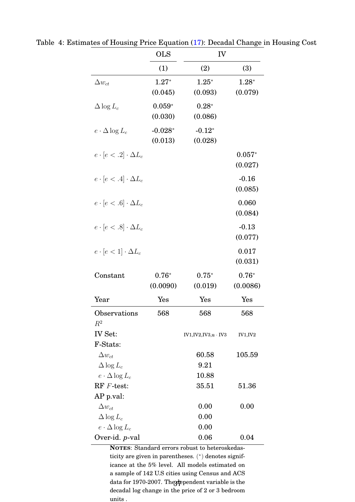<span id="page-37-0"></span>

|                                       | <b>OLS</b> | IV                           |          |
|---------------------------------------|------------|------------------------------|----------|
|                                       | (1)        | (2)                          | (3)      |
| $\Delta w_{ct}$                       | $1.27*$    | $1.25*$                      | $1.28*$  |
|                                       | (0.045)    | (0.093)                      | (0.079)  |
| $\Delta \log L_c$                     | $0.059*$   | $0.28*$                      |          |
|                                       | (0.030)    | (0.086)                      |          |
| $e \cdot \Delta \log L_c$             | $-0.028*$  | $-0.12*$                     |          |
|                                       | (0.013)    | (0.028)                      |          |
| $e \cdot [e \lt .2] \cdot \Delta L_c$ |            |                              | $0.057*$ |
|                                       |            |                              | (0.027)  |
| $e \cdot [e \lt .4] \cdot \Delta L_c$ |            |                              | $-0.16$  |
|                                       |            |                              | (0.085)  |
| $e \cdot [e \lt .6] \cdot \Delta L_c$ |            |                              | 0.060    |
|                                       |            |                              | (0.084)  |
| $e \cdot [e < .8] \cdot \Delta L_c$   |            |                              | $-0.13$  |
|                                       |            |                              | (0.077)  |
| $e \cdot [e < 1] \cdot \Delta L_c$    |            |                              | 0.017    |
|                                       |            |                              | (0.031)  |
| Constant                              | $0.76*$    | $0.75*$                      | $0.76*$  |
|                                       | (0.0090)   | (0.019)                      | (0.0086) |
| Year                                  | Yes        | $\operatorname{Yes}$         | Yes      |
| Observations                          | 568        | 568                          | 568      |
| $\,R^2$                               |            |                              |          |
| IV Set:                               |            | $IV1, IV2, IV3, u \cdot IV3$ | IV1, IV2 |
| F-Stats:<br>$\Delta w_{ct}$           |            | 60.58                        | 105.59   |
| $\Delta \log L_c$                     |            | 9.21                         |          |
| $e \cdot \Delta \log L_c$             |            | 10.88                        |          |
| $RF$ $F$ -test:                       |            | 35.51                        | 51.36    |
| AP p.val:                             |            |                              |          |
| $\Delta w_{ct}$                       |            | 0.00                         | 0.00     |
| $\Delta \log L_c$                     |            | 0.00                         |          |
| $e \cdot \Delta \log L_c$             |            | 0.00                         |          |
| Over-id. p-val                        |            | 0.06                         | 0.04     |

Table 4: Estimates of Housing Price Equation [\(17\)](#page-9-1): Decadal Change in Housing Cost

**NOTES**: Standard errors robust to heteroskedasticity are given in parentheses. ( ∗ ) denotes significance at the 5% level. All models estimated on a sample of 142 U.S cities using Census and ACS data for 1970-2007. Th<mark>egt</mark>ependent variable is the decadal log change in the price of 2 or 3 bedroom units .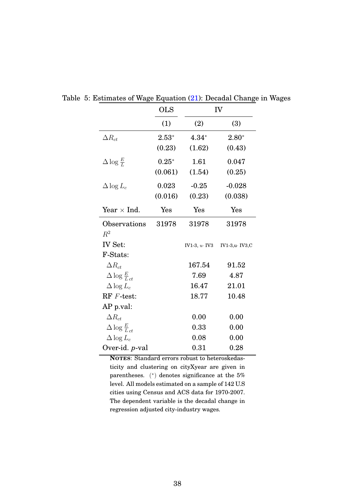<span id="page-38-0"></span>

|                                         | $_{\rm OLS}$ | IV                   |                     |
|-----------------------------------------|--------------|----------------------|---------------------|
|                                         | (1)          | (2)                  | (3)                 |
| $\Delta R_{ct}$                         | $2.53*$      | $4.34*$              | $2.80*$             |
|                                         | (0.23)       | (1.62)               | (0.43)              |
| $\Delta \log \frac{E}{L}$               | $0.25*$      | 1.61                 | 0.047               |
|                                         | (0.061)      | (1.54)               | (0.25)              |
| $\Delta \log L_c$                       | 0.023        | $-0.25$              | $-0.028$            |
|                                         | (0.016)      | (0.23)               | (0.038)             |
| Year $\times$ Ind.                      | Yes          | Yes                  | Yes                 |
| Observations                            | 31978        | 31978                | 31978               |
| $R^2$                                   |              |                      |                     |
| <b>IV</b> Set:                          |              | IV1-3, $u \cdot$ IV3 | IV1-3, $u$ IV3, $C$ |
| F-Stats:                                |              |                      |                     |
| $\Delta R_{ct}$                         |              | 167.54               | 91.52               |
| $\Delta \log \frac{E}{L}$ <sub>ct</sub> |              | 7.69                 | 4.87                |
| $\Delta \log L_c$                       |              | 16.47                | 21.01               |
| $RF$ $F$ -test:                         |              | 18.77                | 10.48               |
| AP p.val:                               |              |                      |                     |
| $\Delta R_{ct}$                         |              | 0.00                 | 0.00                |
| $\Delta \log \frac{E}{L_{ct}}$          |              | 0.33                 | 0.00                |
| $\Delta \log L_c$                       |              | 0.08                 | 0.00                |
| Over-id. <i>p</i> -val                  |              | 0.31                 | 0.28                |

Table 5: Estimates of Wage Equation [\(21\)](#page-12-0): Decadal Change in Wages

**NOTES**: Standard errors robust to heteroskedasticity and clustering on cityXyear are given in parentheses. (\*) denotes significance at the 5% level. All models estimated on a sample of 142 U.S cities using Census and ACS data for 1970-2007. The dependent variable is the decadal change in regression adjusted city-industry wages.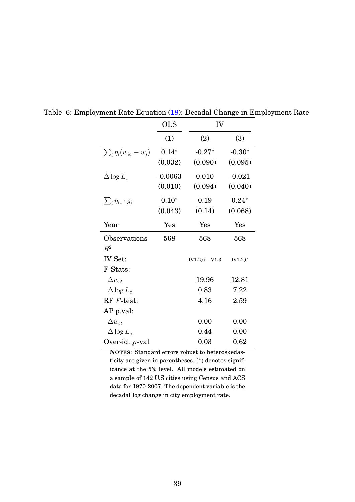<span id="page-39-0"></span>

|                                | $_{\rm OLS}$ | IV                    |           |
|--------------------------------|--------------|-----------------------|-----------|
|                                | (1)          | (2)                   | (3)       |
| $\sum_i \eta_i (w_{ic} - w_i)$ | $0.14*$      | $-0.27*$              | $-0.30*$  |
|                                | (0.032)      | (0.090)               | (0.095)   |
| $\Delta \log L_c$              | $-0.0063$    | 0.010                 | $-0.021$  |
|                                | (0.010)      | (0.094)               | (0.040)   |
| $\sum_i \eta_{ic} \cdot g_i$   | $0.10*$      | 0.19                  | $0.24*$   |
|                                | (0.043)      | (0.14)                | (0.068)   |
| Year                           | Yes          | Yes                   | Yes       |
| Observations                   | 568          | 568                   | 568       |
| $R^2$                          |              |                       |           |
| <b>IV</b> Set:                 |              | $IV1-2,u \cdot IV1-3$ | $IV1-2,C$ |
| F-Stats:                       |              |                       |           |
| $\Delta w_{ct}$                |              | 19.96                 | 12.81     |
| $\Delta \log L_c$              |              | 0.83                  | 7.22      |
| $RF$ $F$ -test:                |              | 4.16                  | 2.59      |
| AP p.val:                      |              |                       |           |
| $\Delta w_{ct}$                |              | 0.00                  | 0.00      |
| $\Delta \log L_c$              |              | 0.44                  | 0.00      |
| Over-id. <i>p</i> -val         |              | 0.03                  | 0.62      |

Table 6: Employment Rate Equation [\(18\)](#page-10-1): Decadal Change in Employment Rate

**NOTES**: Standard errors robust to heteroskedasticity are given in parentheses. ( ∗ ) denotes significance at the 5% level. All models estimated on a sample of 142 U.S cities using Census and ACS data for 1970-2007. The dependent variable is the decadal log change in city employment rate.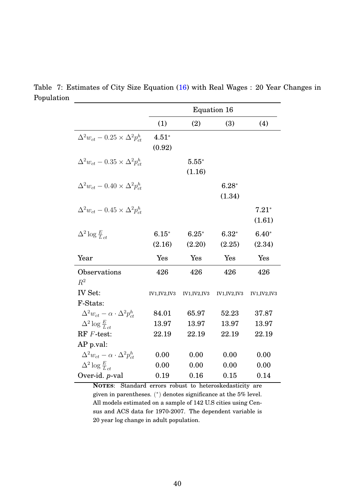<span id="page-40-0"></span>

|                                                    | <b>Equation 16</b> |                   |                   |                   |
|----------------------------------------------------|--------------------|-------------------|-------------------|-------------------|
|                                                    | (1)                | (2)               | (3)               | (4)               |
| $\Delta^2 w_{ct} - 0.25 \times \Delta^2 p_{ct}^h$  | $4.51*$<br>(0.92)  |                   |                   |                   |
| $\Delta^2 w_{ct} - 0.35 \times \Delta^2 p_{ct}^h$  |                    | $5.55*$<br>(1.16) |                   |                   |
| $\Delta^2 w_{ct} - 0.40 \times \Delta^2 p_{ct}^h$  |                    |                   | $6.28*$<br>(1.34) |                   |
| $\Delta^2 w_{ct} - 0.45 \times \Delta^2 p_{ct}^h$  |                    |                   |                   | $7.21*$<br>(1.61) |
| $\Delta^2 \log \frac{E}{L_{ct}}$                   | $6.15*$<br>(2.16)  | $6.25*$<br>(2.20) | $6.32*$<br>(2.25) | $6.40*$<br>(2.34) |
| Year                                               | Yes                | Yes               | Yes               | Yes               |
| Observations<br>$R^2$                              | 426                | 426               | 426               | 426               |
| <b>IV Set:</b>                                     | IV1, IV2, IV3      | IV1, IV2, IV3     | $\rm IV1,IV2,IV3$ | IV1, IV2, IV3     |
| F-Stats:                                           |                    |                   |                   |                   |
| $\Delta^2 w_{ct} - \alpha \cdot \Delta^2 p_{ct}^h$ | 84.01              | 65.97             | 52.23             | 37.87             |
| $\Delta^2 \log \frac{E}{L}$                        | 13.97              | 13.97             | 13.97             | 13.97             |
| $RF$ $F$ -test:                                    | 22.19              | 22.19             | 22.19             | 22.19             |
| AP p.val:                                          |                    |                   |                   |                   |
| $\Delta^2 w_{ct} - \alpha \cdot \Delta^2 p_{ct}^h$ | 0.00               | 0.00              | 0.00              | 0.00              |
| $\Delta^2 \log \frac{E}{L}$                        | 0.00               | 0.00              | 0.00              | 0.00              |
| Over-id. p-val                                     | 0.19               | 0.16              | 0.15              | 0.14              |

Table 7: Estimates of City Size Equation [\(16\)](#page-9-0) with Real Wages : 20 Year Changes in Population

**NOTES**: Standard errors robust to heteroskedasticity are given in parentheses. ( ∗ ) denotes significance at the 5% level. All models estimated on a sample of 142 U.S cities using Census and ACS data for 1970-2007. The dependent variable is 20 year log change in adult population.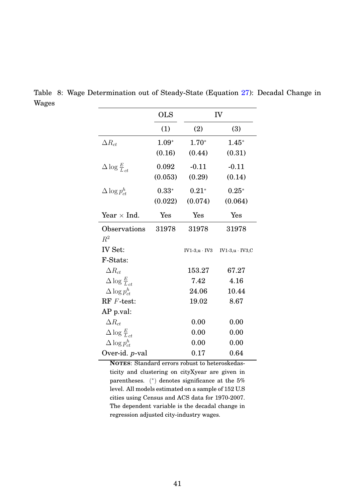|                                         | <b>OLS</b> |                    | IV                       |
|-----------------------------------------|------------|--------------------|--------------------------|
|                                         | (1)        | (2)                | (3)                      |
| $\Delta R_{ct}$                         | $1.09*$    | $1.70*$            | $1.45*$                  |
|                                         | (0.16)     | (0.44)             | (0.31)                   |
| $\Delta \log \frac{E}{L}$               | 0.092      | $-0.11$            | $-0.11$                  |
|                                         | (0.053)    | (0.29)             | (0.14)                   |
| $\Delta \log p_{ct}^h$                  | $0.33*$    | $0.21*$            | $0.25*$                  |
|                                         | (0.022)    | (0.074)            | (0.064)                  |
| Year $\times$ Ind.                      | Yes        | Yes                | Yes                      |
| Observations                            | 31978      | 31978              | 31978                    |
| $R^2$                                   |            |                    |                          |
| IV Set:                                 |            | $IV1-3,u\cdot IV3$ | $IV1-3, u \cdot IV3$ , C |
| F-Stats:                                |            |                    |                          |
| $\Delta R_{ct}$                         |            | 153.27             | 67.27                    |
| $\Delta \log \frac{E}{L}$               |            | 7.42               | 4.16                     |
| $\Delta \log p_{ct}^h$                  |            | 24.06              | 10.44                    |
| $RF$ $F$ -test:                         |            | 19.02              | 8.67                     |
| AP p.val:                               |            |                    |                          |
| $\Delta R_{ct}$                         |            | 0.00               | 0.00                     |
| $\Delta \log \frac{E}{L}$ <sub>ct</sub> |            | 0.00               | 0.00                     |
| $\Delta \log p_{ct}^h$                  |            | 0.00               | 0.00                     |
| Over-id. <i>p</i> -val                  |            | 0.17               | 0.64                     |

<span id="page-41-0"></span>Table 8: Wage Determination out of Steady-State (Equation [27\)](#page-26-2): Decadal Change in Wages

**NOTES**: Standard errors robust to heteroskedasticity and clustering on cityXyear are given in parentheses. (\*) denotes significance at the 5% level. All models estimated on a sample of 152 U.S cities using Census and ACS data for 1970-2007. The dependent variable is the decadal change in regression adjusted city-industry wages.